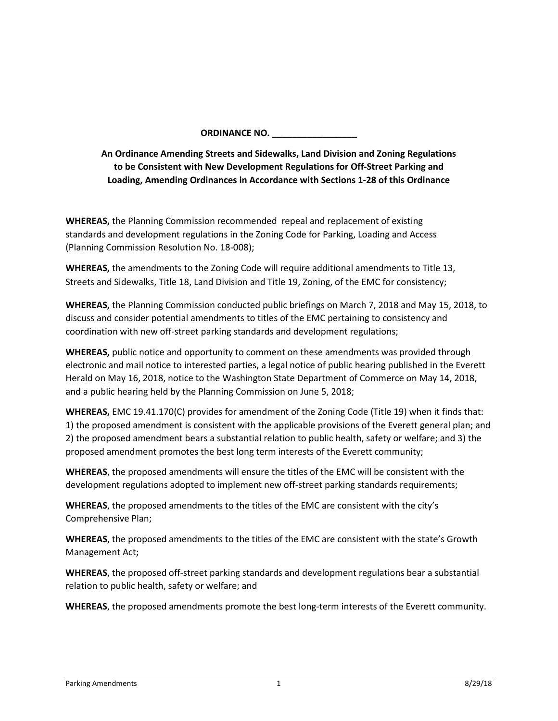**ORDINANCE NO. \_\_\_\_\_\_\_\_\_\_\_\_\_\_\_\_\_**

**An Ordinance Amending Streets and Sidewalks, Land Division and Zoning Regulations to be Consistent with New Development Regulations for Off-Street Parking and Loading, Amending Ordinances in Accordance with Sections 1-28 of this Ordinance**

**WHEREAS,** the Planning Commission recommended repeal and replacement of existing standards and development regulations in the Zoning Code for Parking, Loading and Access (Planning Commission Resolution No. 18-008);

**WHEREAS,** the amendments to the Zoning Code will require additional amendments to Title 13, Streets and Sidewalks, Title 18, Land Division and Title 19, Zoning, of the EMC for consistency;

**WHEREAS,** the Planning Commission conducted public briefings on March 7, 2018 and May 15, 2018, to discuss and consider potential amendments to titles of the EMC pertaining to consistency and coordination with new off-street parking standards and development regulations;

**WHEREAS,** public notice and opportunity to comment on these amendments was provided through electronic and mail notice to interested parties, a legal notice of public hearing published in the Everett Herald on May 16, 2018, notice to the Washington State Department of Commerce on May 14, 2018, and a public hearing held by the Planning Commission on June 5, 2018;

**WHEREAS,** EMC 19.41.170(C) provides for amendment of the Zoning Code (Title 19) when it finds that: 1) the proposed amendment is consistent with the applicable provisions of the Everett general plan; and 2) the proposed amendment bears a substantial relation to public health, safety or welfare; and 3) the proposed amendment promotes the best long term interests of the Everett community;

**WHEREAS**, the proposed amendments will ensure the titles of the EMC will be consistent with the development regulations adopted to implement new off-street parking standards requirements;

**WHEREAS**, the proposed amendments to the titles of the EMC are consistent with the city's Comprehensive Plan;

**WHEREAS**, the proposed amendments to the titles of the EMC are consistent with the state's Growth Management Act;

**WHEREAS**, the proposed off-street parking standards and development regulations bear a substantial relation to public health, safety or welfare; and

**WHEREAS**, the proposed amendments promote the best long-term interests of the Everett community.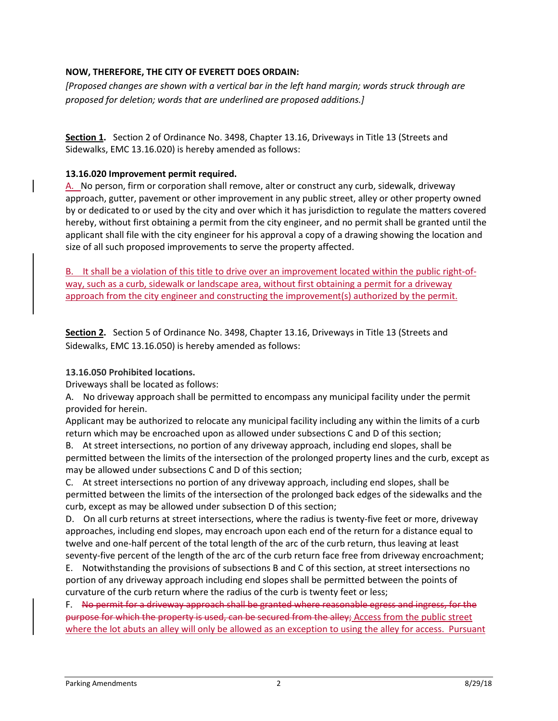## **NOW, THEREFORE, THE CITY OF EVERETT DOES ORDAIN:**

*[Proposed changes are shown with a vertical bar in the left hand margin; words struck through are proposed for deletion; words that are underlined are proposed additions.]*

Section 1. Section 2 of Ordinance No. 3498, Chapter 13.16, Driveways in Title 13 (Streets and Sidewalks, EMC 13.16.020) is hereby amended as follows:

#### **13.16.020 Improvement permit required.**

A. No person, firm or corporation shall remove, alter or construct any curb, sidewalk, driveway approach, gutter, pavement or other improvement in any public street, alley or other property owned by or dedicated to or used by the city and over which it has jurisdiction to regulate the matters covered hereby, without first obtaining a permit from the city engineer, and no permit shall be granted until the applicant shall file with the city engineer for his approval a copy of a drawing showing the location and size of all such proposed improvements to serve the property affected.

B. It shall be a violation of this title to drive over an improvement located within the public right-ofway, such as a curb, sidewalk or landscape area, without first obtaining a permit for a driveway approach from the city engineer and constructing the improvement(s) authorized by the permit.

Section 2. Section 5 of Ordinance No. 3498, Chapter 13.16, Driveways in Title 13 (Streets and Sidewalks, EMC 13.16.050) is hereby amended as follows:

#### **13.16.050 Prohibited locations.**

Driveways shall be located as follows:

A. No driveway approach shall be permitted to encompass any municipal facility under the permit provided for herein.

Applicant may be authorized to relocate any municipal facility including any within the limits of a curb return which may be encroached upon as allowed under subsections C and D of this section;

B. At street intersections, no portion of any driveway approach, including end slopes, shall be permitted between the limits of the intersection of the prolonged property lines and the curb, except as may be allowed under subsections C and D of this section;

C. At street intersections no portion of any driveway approach, including end slopes, shall be permitted between the limits of the intersection of the prolonged back edges of the sidewalks and the curb, except as may be allowed under subsection D of this section;

D. On all curb returns at street intersections, where the radius is twenty-five feet or more, driveway approaches, including end slopes, may encroach upon each end of the return for a distance equal to twelve and one-half percent of the total length of the arc of the curb return, thus leaving at least seventy-five percent of the length of the arc of the curb return face free from driveway encroachment;

E. Notwithstanding the provisions of subsections B and C of this section, at street intersections no portion of any driveway approach including end slopes shall be permitted between the points of curvature of the curb return where the radius of the curb is twenty feet or less;

F. No permit for a driveway approach shall be granted where reasonable egress and ingress, for the purpose for which the property is used, can be secured from the alley; Access from the public street where the lot abuts an alley will only be allowed as an exception to using the alley for access. Pursuant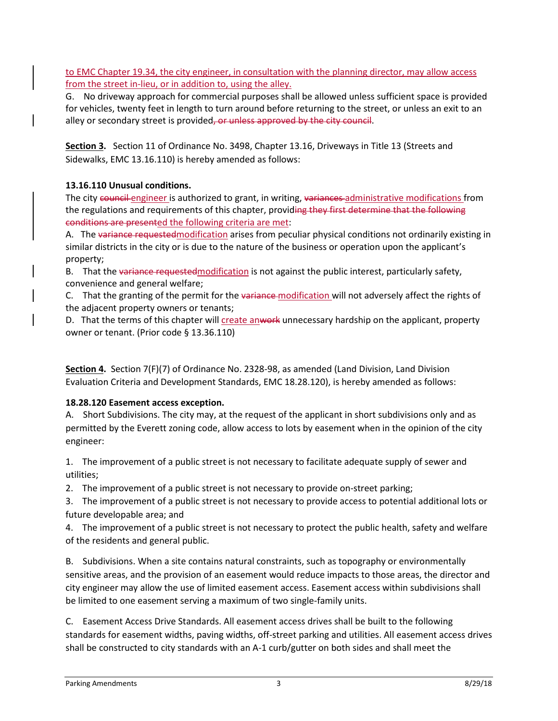to EMC Chapter 19.34, the city engineer, in consultation with the planning director, may allow access from the street in-lieu, or in addition to, using the alley.

G. No driveway approach for commercial purposes shall be allowed unless sufficient space is provided for vehicles, twenty feet in length to turn around before returning to the street, or unless an exit to an alley or secondary street is provided, or unless approved by the city council.

**Section 3.** Section 11 of Ordinance No. 3498, Chapter 13.16, Driveways in Title 13 (Streets and Sidewalks, EMC 13.16.110) is hereby amended as follows:

# **13.16.110 Unusual conditions.**

The city council engineer is authorized to grant, in writing, variances administrative modifications from the regulations and requirements of this chapter, providing they first determine that the following conditions are presented the following criteria are met:

A. The variance requested modification arises from peculiar physical conditions not ordinarily existing in similar districts in the city or is due to the nature of the business or operation upon the applicant's property;

B. That the variance requested modification is not against the public interest, particularly safety, convenience and general welfare;

C. That the granting of the permit for the variance modification will not adversely affect the rights of the adjacent property owners or tenants;

D. That the terms of this chapter will create anwork unnecessary hardship on the applicant, property owner or tenant. (Prior code § 13.36.110)

**Section 4.** Section 7(F)(7) of Ordinance No. 2328-98, as amended (Land Division, Land Division Evaluation Criteria and Development Standards, EMC 18.28.120), is hereby amended as follows:

#### **18.28.120 Easement access exception.**

A. Short Subdivisions. The city may, at the request of the applicant in short subdivisions only and as permitted by the Everett zoning code, allow access to lots by easement when in the opinion of the city engineer:

1. The improvement of a public street is not necessary to facilitate adequate supply of sewer and utilities;

2. The improvement of a public street is not necessary to provide on-street parking;

3. The improvement of a public street is not necessary to provide access to potential additional lots or future developable area; and

4. The improvement of a public street is not necessary to protect the public health, safety and welfare of the residents and general public.

B. Subdivisions. When a site contains natural constraints, such as topography or environmentally sensitive areas, and the provision of an easement would reduce impacts to those areas, the director and city engineer may allow the use of limited easement access. Easement access within subdivisions shall be limited to one easement serving a maximum of two single-family units.

C. Easement Access Drive Standards. All easement access drives shall be built to the following standards for easement widths, paving widths, off-street parking and utilities. All easement access drives shall be constructed to city standards with an A-1 curb/gutter on both sides and shall meet the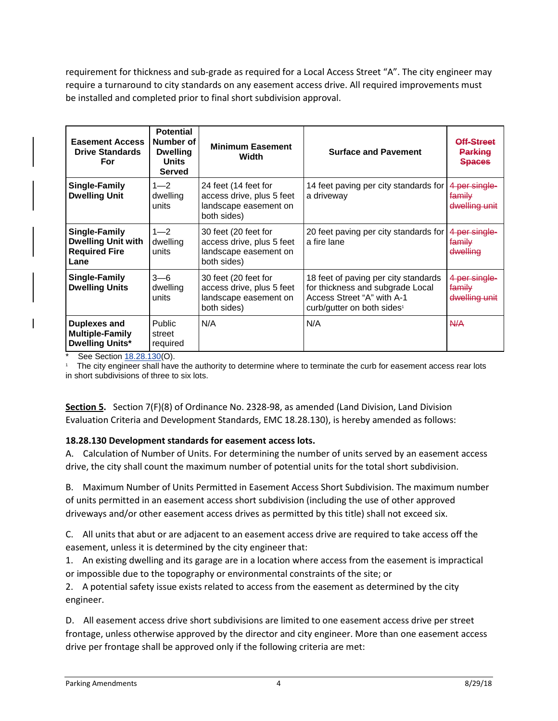requirement for thickness and sub-grade as required for a Local Access Street "A". The city engineer may require a turnaround to city standards on any easement access drive. All required improvements must be installed and completed prior to final short subdivision approval.

| <b>Easement Access</b><br><b>Drive Standards</b><br>For                    | <b>Potential</b><br>Number of<br><b>Dwelling</b><br><b>Units</b><br><b>Served</b> | <b>Minimum Easement</b><br>Width                                                          | <b>Surface and Pavement</b>                                                                                                                      | <u> Aff.Stroot</u><br><b>Parking</b><br><b>Spaces</b> |
|----------------------------------------------------------------------------|-----------------------------------------------------------------------------------|-------------------------------------------------------------------------------------------|--------------------------------------------------------------------------------------------------------------------------------------------------|-------------------------------------------------------|
| Single-Family<br><b>Dwelling Unit</b>                                      | $1 - 2$<br>dwelling<br>units                                                      | 24 feet (14 feet for<br>access drive, plus 5 feet<br>landscape easement on<br>both sides) | 14 feet paving per city standards for<br>a driveway                                                                                              |                                                       |
| Single-Family<br><b>Dwelling Unit with</b><br><b>Required Fire</b><br>Lane | $1 - 2$<br>dwelling<br>units                                                      | 30 feet (20 feet for<br>access drive, plus 5 feet<br>landscape easement on<br>both sides) | 20 feet paving per city standards for<br>a fire lane                                                                                             | 4 per single-<br><del>family</del><br>dwelling        |
| Single-Family<br><b>Dwelling Units</b>                                     | $3 - 6$<br>dwelling<br>units                                                      | 30 feet (20 feet for<br>access drive, plus 5 feet<br>landscape easement on<br>both sides) | 18 feet of paving per city standards<br>for thickness and subgrade Local<br>Access Street "A" with A-1<br>curb/qutter on both sides <sup>1</sup> | 4 per single-<br><del>family</del><br>dwelling unit   |
| <b>Duplexes and</b><br><b>Multiple-Family</b><br><b>Dwelling Units*</b>    | <b>Public</b><br>street<br>required                                               | N/A                                                                                       | N/A                                                                                                                                              | N/A                                                   |

See Sectio[n 18.28.130\(](http://www.codepublishing.com/WA/Everett/html/Everett18/Everett1828.html#18.28.130)O).

1 The city engineer shall have the authority to determine where to terminate the curb for easement access rear lots in short subdivisions of three to six lots.

**Section 5.** Section 7(F)(8) of Ordinance No. 2328-98, as amended (Land Division, Land Division Evaluation Criteria and Development Standards, EMC 18.28.130), is hereby amended as follows:

#### **18.28.130 Development standards for easement access lots.**

A. Calculation of Number of Units. For determining the number of units served by an easement access drive, the city shall count the maximum number of potential units for the total short subdivision.

B. Maximum Number of Units Permitted in Easement Access Short Subdivision. The maximum number of units permitted in an easement access short subdivision (including the use of other approved driveways and/or other easement access drives as permitted by this title) shall not exceed six.

C. All units that abut or are adjacent to an easement access drive are required to take access off the easement, unless it is determined by the city engineer that:

1. An existing dwelling and its garage are in a location where access from the easement is impractical or impossible due to the topography or environmental constraints of the site; or

2. A potential safety issue exists related to access from the easement as determined by the city engineer.

D. All easement access drive short subdivisions are limited to one easement access drive per street frontage, unless otherwise approved by the director and city engineer. More than one easement access drive per frontage shall be approved only if the following criteria are met: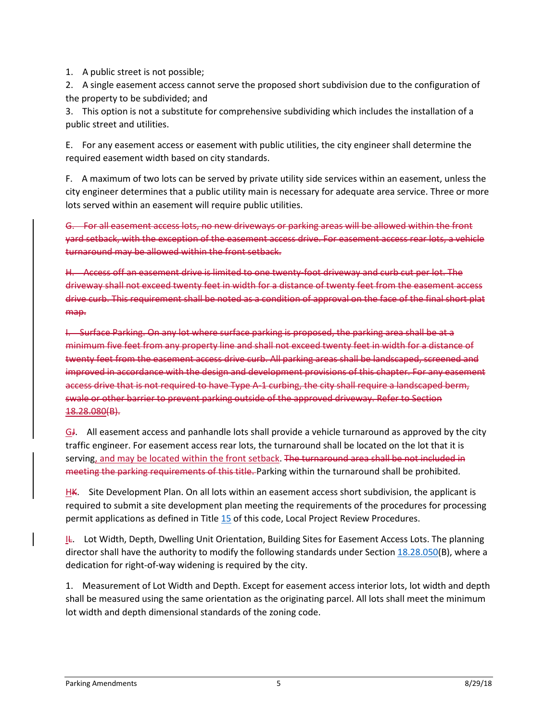1. A public street is not possible;

2. A single easement access cannot serve the proposed short subdivision due to the configuration of the property to be subdivided; and

3. This option is not a substitute for comprehensive subdividing which includes the installation of a public street and utilities.

E. For any easement access or easement with public utilities, the city engineer shall determine the required easement width based on city standards.

F. A maximum of two lots can be served by private utility side services within an easement, unless the city engineer determines that a public utility main is necessary for adequate area service. Three or more lots served within an easement will require public utilities.

G. For all easement access lots, no new driveways or parking areas will be allowed within the front yard setback, with the exception of the easement access drive. For easement access rear lots, a vehicle turnaround may be allowed within the front setback.

H. Access off an easement drive is limited to one twenty-foot driveway and curb cut per lot. The driveway shall not exceed twenty feet in width for a distance of twenty feet from the easement access drive curb. This requirement shall be noted as a condition of approval on the face of the final short plat map.

I. Surface Parking. On any lot where surface parking is proposed, the parking area shall be at a minimum five feet from any property line and shall not exceed twenty feet in width for a distance of twenty feet from the easement access drive curb. All parking areas shall be landscaped, screened and improved in accordance with the design and development provisions of this chapter. For any easement access drive that is not required to have Type A-1 curbing, the city shall require a landscaped berm, swale or other barrier to prevent parking outside of the approved driveway. Refer to Section 18.28.080(B).

GJ. All easement access and panhandle lots shall provide a vehicle turnaround as approved by the city traffic engineer. For easement access rear lots, the turnaround shall be located on the lot that it is serving, and may be located within the front setback. The turnaround area shall be not included in meeting the parking requirements of this title. Parking within the turnaround shall be prohibited.

HK. Site Development Plan. On all lots within an easement access short subdivision, the applicant is required to submit a site development plan meeting the requirements of the procedures for processing permit applications as defined in Titl[e 15](http://www.codepublishing.com/WA/Everett/#!/Everett15/Everett15.html#15) of this code, Local Project Review Procedures.

IL. Lot Width, Depth, Dwelling Unit Orientation, Building Sites for Easement Access Lots. The planning director shall have the authority to modify the following standards under Section [18.28.050\(](http://www.codepublishing.com/WA/Everett/#!/Everett18/Everett1828.html#18.28.050)B), where a dedication for right-of-way widening is required by the city.

1. Measurement of Lot Width and Depth. Except for easement access interior lots, lot width and depth shall be measured using the same orientation as the originating parcel. All lots shall meet the minimum lot width and depth dimensional standards of the zoning code.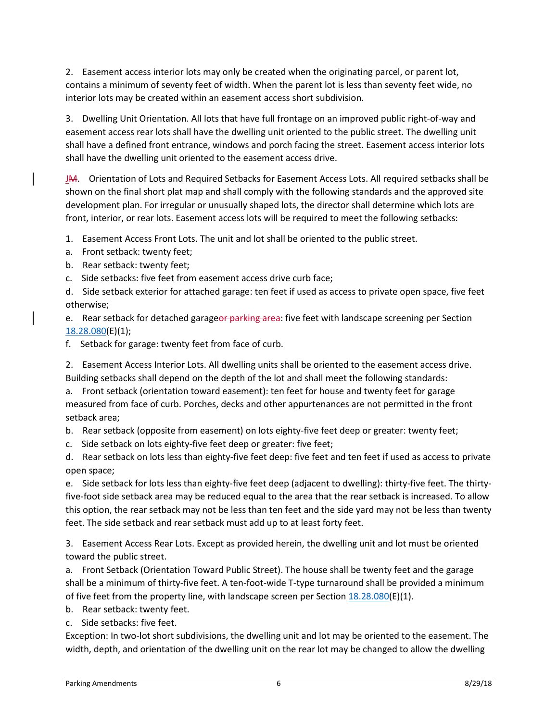2. Easement access interior lots may only be created when the originating parcel, or parent lot, contains a minimum of seventy feet of width. When the parent lot is less than seventy feet wide, no interior lots may be created within an easement access short subdivision.

3. Dwelling Unit Orientation. All lots that have full frontage on an improved public right-of-way and easement access rear lots shall have the dwelling unit oriented to the public street. The dwelling unit shall have a defined front entrance, windows and porch facing the street. Easement access interior lots shall have the dwelling unit oriented to the easement access drive.

JM. Orientation of Lots and Required Setbacks for Easement Access Lots. All required setbacks shall be shown on the final short plat map and shall comply with the following standards and the approved site development plan. For irregular or unusually shaped lots, the director shall determine which lots are front, interior, or rear lots. Easement access lots will be required to meet the following setbacks:

1. Easement Access Front Lots. The unit and lot shall be oriented to the public street.

a. Front setback: twenty feet;

b. Rear setback: twenty feet;

c. Side setbacks: five feet from easement access drive curb face;

d. Side setback exterior for attached garage: ten feet if used as access to private open space, five feet otherwise;

e. Rear setback for detached garageor parking area: five feet with landscape screening per Section [18.28.080\(](http://www.codepublishing.com/WA/Everett/html/Everett18/Everett1828.html#18.28.080)E)(1);

f. Setback for garage: twenty feet from face of curb.

2. Easement Access Interior Lots. All dwelling units shall be oriented to the easement access drive. Building setbacks shall depend on the depth of the lot and shall meet the following standards:

a. Front setback (orientation toward easement): ten feet for house and twenty feet for garage measured from face of curb. Porches, decks and other appurtenances are not permitted in the front setback area;

b. Rear setback (opposite from easement) on lots eighty-five feet deep or greater: twenty feet;

c. Side setback on lots eighty-five feet deep or greater: five feet;

d. Rear setback on lots less than eighty-five feet deep: five feet and ten feet if used as access to private open space;

e. Side setback for lots less than eighty-five feet deep (adjacent to dwelling): thirty-five feet. The thirtyfive-foot side setback area may be reduced equal to the area that the rear setback is increased. To allow this option, the rear setback may not be less than ten feet and the side yard may not be less than twenty feet. The side setback and rear setback must add up to at least forty feet.

3. Easement Access Rear Lots. Except as provided herein, the dwelling unit and lot must be oriented toward the public street.

a. Front Setback (Orientation Toward Public Street). The house shall be twenty feet and the garage shall be a minimum of thirty-five feet. A ten-foot-wide T-type turnaround shall be provided a minimum of five feet from the property line, with landscape screen per Section  $18.28.080(E)(1)$ .

b. Rear setback: twenty feet.

c. Side setbacks: five feet.

Exception: In two-lot short subdivisions, the dwelling unit and lot may be oriented to the easement. The width, depth, and orientation of the dwelling unit on the rear lot may be changed to allow the dwelling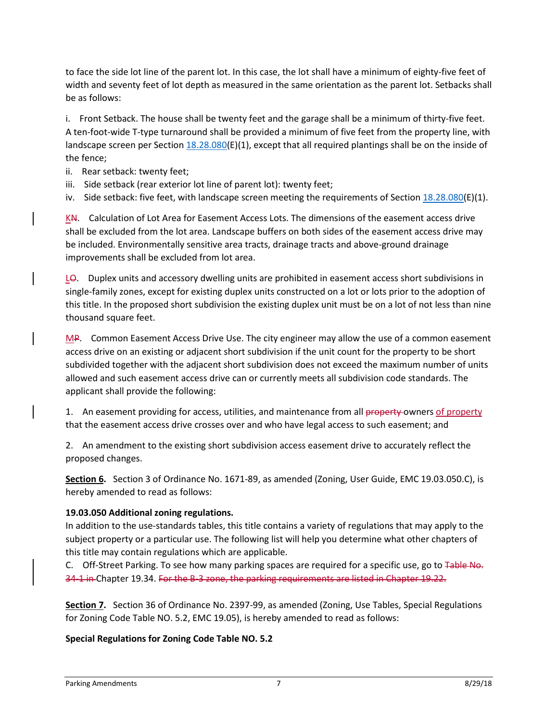to face the side lot line of the parent lot. In this case, the lot shall have a minimum of eighty-five feet of width and seventy feet of lot depth as measured in the same orientation as the parent lot. Setbacks shall be as follows:

i. Front Setback. The house shall be twenty feet and the garage shall be a minimum of thirty-five feet. A ten-foot-wide T-type turnaround shall be provided a minimum of five feet from the property line, with landscape screen per Section  $18.28.080(E)(1)$ , except that all required plantings shall be on the inside of the fence;

- ii. Rear setback: twenty feet;
- iii. Side setback (rear exterior lot line of parent lot): twenty feet;
- iv. Side setback: five feet, with landscape screen meeting the requirements of Section  $18.28.080(E)(1)$ .

KN. Calculation of Lot Area for Easement Access Lots. The dimensions of the easement access drive shall be excluded from the lot area. Landscape buffers on both sides of the easement access drive may be included. Environmentally sensitive area tracts, drainage tracts and above-ground drainage improvements shall be excluded from lot area.

LO. Duplex units and accessory dwelling units are prohibited in easement access short subdivisions in single-family zones, except for existing duplex units constructed on a lot or lots prior to the adoption of this title. In the proposed short subdivision the existing duplex unit must be on a lot of not less than nine thousand square feet.

MP. Common Easement Access Drive Use. The city engineer may allow the use of a common easement access drive on an existing or adjacent short subdivision if the unit count for the property to be short subdivided together with the adjacent short subdivision does not exceed the maximum number of units allowed and such easement access drive can or currently meets all subdivision code standards. The applicant shall provide the following:

1. An easement providing for access, utilities, and maintenance from all property owners of property that the easement access drive crosses over and who have legal access to such easement; and

2. An amendment to the existing short subdivision access easement drive to accurately reflect the proposed changes.

**Section 6.** Section 3 of Ordinance No. 1671-89, as amended (Zoning, User Guide, EMC 19.03.050.C), is hereby amended to read as follows:

#### **19.03.050 Additional zoning regulations.**

In addition to the use-standards tables, this title contains a variety of regulations that may apply to the subject property or a particular use. The following list will help you determine what other chapters of this title may contain regulations which are applicable.

C. Off-Street Parking. To see how many parking spaces are required for a specific use, go to Table No. 34-1 in Chapte[r 19.34.](http://www.codepublishing.com/WA/Everett/#!/Everett19/Everett1934.html#19.34) For the B-3 zone, the parking requirements are listed in Chapter 19.22.

**Section 7.** Section 36 of Ordinance No. 2397-99, as amended (Zoning, Use Tables, Special Regulations for Zoning Code Table NO. 5.2, EMC 19.05), is hereby amended to read as follows:

#### **Special Regulations for Zoning Code Table NO. 5.2**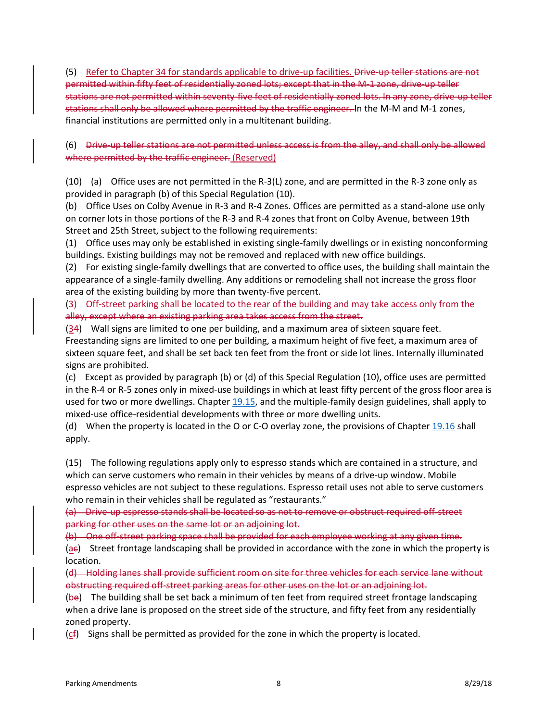(5) Refer to Chapter 34 for standards applicable to drive-up facilities. Drive-up teller stations are not permitted within fifty feet of residentially zoned lots; except that in the M-1 zone, drive-up teller stations are not permitted within seventy-five feet of residentially zoned lots. In any zone, drive-up teller stations shall only be allowed where permitted by the traffic engineer. In the M-M and M-1 zones, financial institutions are permitted only in a multitenant building.

#### (6) Drive-up teller stations are not permitted unless access is from the alley, and shall only be allowed where permitted by the traffic engineer. (Reserved)

(10) (a) Office uses are not permitted in the R-3(L) zone, and are permitted in the R-3 zone only as provided in paragraph (b) of this Special Regulation (10).

(b) Office Uses on Colby Avenue in R-3 and R-4 Zones. Offices are permitted as a stand-alone use only on corner lots in those portions of the R-3 and R-4 zones that front on Colby Avenue, between 19th Street and 25th Street, subject to the following requirements:

(1) Office uses may only be established in existing single-family dwellings or in existing nonconforming buildings. Existing buildings may not be removed and replaced with new office buildings.

(2) For existing single-family dwellings that are converted to office uses, the building shall maintain the appearance of a single-family dwelling. Any additions or remodeling shall not increase the gross floor area of the existing building by more than twenty-five percent.

(3) Off-street parking shall be located to the rear of the building and may take access only from the alley, except where an existing parking area takes access from the street.

(34) Wall signs are limited to one per building, and a maximum area of sixteen square feet. Freestanding signs are limited to one per building, a maximum height of five feet, a maximum area of sixteen square feet, and shall be set back ten feet from the front or side lot lines. Internally illuminated signs are prohibited.

(c) Except as provided by paragraph (b) or (d) of this Special Regulation (10), office uses are permitted in the R-4 or R-5 zones only in mixed-use buildings in which at least fifty percent of the gross floor area is used for two or more dwellings. Chapter [19.15,](http://www.codepublishing.com/WA/Everett/html/Everett19/Everett1915.html#19.15) and the multiple-family design guidelines, shall apply to mixed-use office-residential developments with three or more dwelling units.

(d) When the property is located in the O or C-O overlay zone, the provisions of Chapter [19.16](http://www.codepublishing.com/WA/Everett/html/Everett19/Everett1916.html#19.16) shall apply.

(15) The following regulations apply only to espresso stands which are contained in a structure, and which can serve customers who remain in their vehicles by means of a drive-up window. Mobile espresso vehicles are not subject to these regulations. Espresso retail uses not able to serve customers who remain in their vehicles shall be regulated as "restaurants."

(a) Drive-up espresso stands shall be located so as not to remove or obstruct required off-street parking for other uses on the same lot or an adjoining lot.

(b) One off-street parking space shall be provided for each employee working at any given time.

(ae) Street frontage landscaping shall be provided in accordance with the zone in which the property is location.

(d) Holding lanes shall provide sufficient room on site for three vehicles for each service lane without obstructing required off-street parking areas for other uses on the lot or an adjoining lot.

(be) The building shall be set back a minimum of ten feet from required street frontage landscaping when a drive lane is proposed on the street side of the structure, and fifty feet from any residentially zoned property.

(cf) Signs shall be permitted as provided for the zone in which the property is located.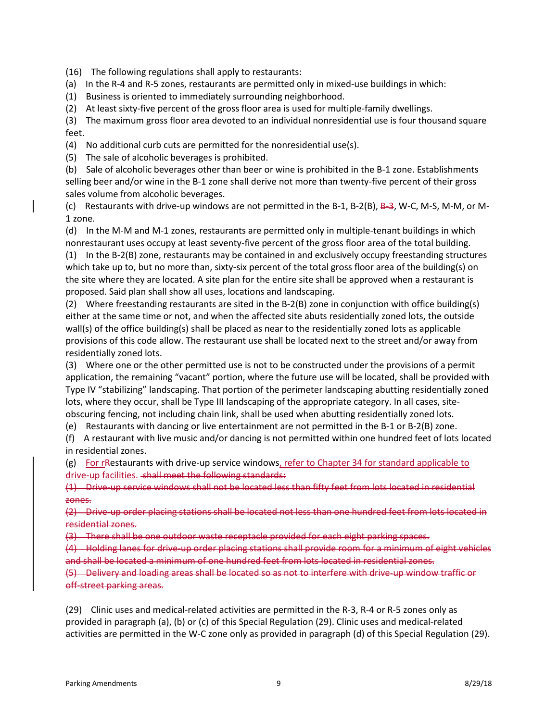(16) The following regulations shall apply to restaurants:

(a) In the R-4 and R-5 zones, restaurants are permitted only in mixed-use buildings in which:

(1) Business is oriented to immediately surrounding neighborhood.

(2) At least sixty-five percent of the gross floor area is used for multiple-family dwellings.

(3) The maximum gross floor area devoted to an individual nonresidential use is four thousand square feet.

(4) No additional curb cuts are permitted for the nonresidential use(s).

(5) The sale of alcoholic beverages is prohibited.

(b) Sale of alcoholic beverages other than beer or wine is prohibited in the B-1 zone. Establishments selling beer and/or wine in the B-1 zone shall derive not more than twenty-five percent of their gross sales volume from alcoholic beverages.

(c) Restaurants with drive-up windows are not permitted in the B-1, B-2(B), B-3, W-C, M-S, M-M, or M-1 zone.

(d) In the M-M and M-1 zones, restaurants are permitted only in multiple-tenant buildings in which nonrestaurant uses occupy at least seventy-five percent of the gross floor area of the total building. (1) In the B-2(B) zone, restaurants may be contained in and exclusively occupy freestanding structures which take up to, but no more than, sixty-six percent of the total gross floor area of the building(s) on the site where they are located. A site plan for the entire site shall be approved when a restaurant is proposed. Said plan shall show all uses, locations and landscaping.

(2) Where freestanding restaurants are sited in the B-2(B) zone in conjunction with office building(s) either at the same time or not, and when the affected site abuts residentially zoned lots, the outside wall(s) of the office building(s) shall be placed as near to the residentially zoned lots as applicable provisions of this code allow. The restaurant use shall be located next to the street and/or away from residentially zoned lots.

(3) Where one or the other permitted use is not to be constructed under the provisions of a permit application, the remaining "vacant" portion, where the future use will be located, shall be provided with Type IV "stabilizing" landscaping. That portion of the perimeter landscaping abutting residentially zoned lots, where they occur, shall be Type III landscaping of the appropriate category. In all cases, siteobscuring fencing, not including chain link, shall be used when abutting residentially zoned lots.

(e) Restaurants with dancing or live entertainment are not permitted in the B-1 or B-2(B) zone.

(f) A restaurant with live music and/or dancing is not permitted within one hundred feet of lots located in residential zones.

(g) For rRestaurants with drive-up service windows, refer to Chapter 34 for standard applicable to drive-up facilities. shall meet the following standards:

(1) Drive-up service windows shall not be located less than fifty feet from lots located in residential zones.

(2) Drive-up order placing stations shall be located not less than one hundred feet from lots located in residential zones.

(3) There shall be one outdoor waste receptacle provided for each eight parking spaces.

(4) Holding lanes for drive-up order placing stations shall provide room for a minimum of eight vehicles and shall be located a minimum of one hundred feet from lots located in residential zones.

(5) Delivery and loading areas shall be located so as not to interfere with drive-up window traffic or off-street parking areas.

(29) Clinic uses and medical-related activities are permitted in the R-3, R-4 or R-5 zones only as provided in paragraph (a), (b) or (c) of this Special Regulation (29). Clinic uses and medical-related activities are permitted in the W-C zone only as provided in paragraph (d) of this Special Regulation (29).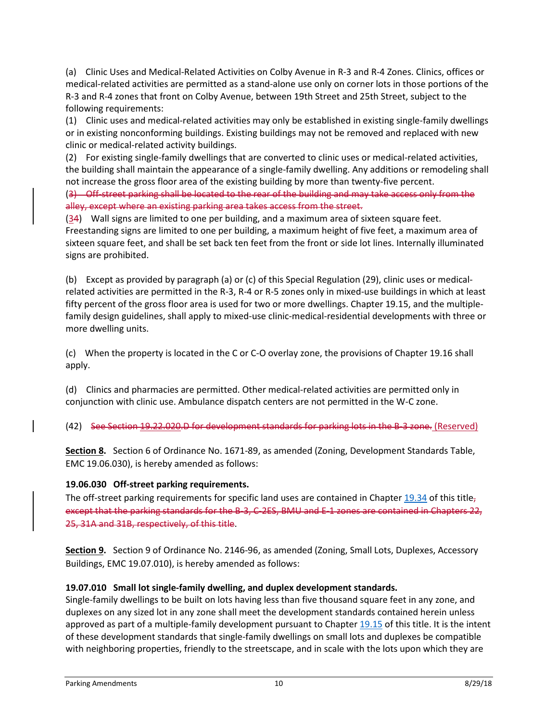(a) Clinic Uses and Medical-Related Activities on Colby Avenue in R-3 and R-4 Zones. Clinics, offices or medical-related activities are permitted as a stand-alone use only on corner lots in those portions of the R-3 and R-4 zones that front on Colby Avenue, between 19th Street and 25th Street, subject to the following requirements:

(1) Clinic uses and medical-related activities may only be established in existing single-family dwellings or in existing nonconforming buildings. Existing buildings may not be removed and replaced with new clinic or medical-related activity buildings.

(2) For existing single-family dwellings that are converted to clinic uses or medical-related activities, the building shall maintain the appearance of a single-family dwelling. Any additions or remodeling shall not increase the gross floor area of the existing building by more than twenty-five percent.

(3) Off-street parking shall be located to the rear of the building and may take access only from the alley, except where an existing parking area takes access from the street.

(34) Wall signs are limited to one per building, and a maximum area of sixteen square feet. Freestanding signs are limited to one per building, a maximum height of five feet, a maximum area of sixteen square feet, and shall be set back ten feet from the front or side lot lines. Internally illuminated signs are prohibited.

(b) Except as provided by paragraph (a) or (c) of this Special Regulation (29), clinic uses or medicalrelated activities are permitted in the R-3, R-4 or R-5 zones only in mixed-use buildings in which at least fifty percent of the gross floor area is used for two or more dwellings. Chapter 19.15, and the multiplefamily design guidelines, shall apply to mixed-use clinic-medical-residential developments with three or more dwelling units.

(c) When the property is located in the C or C-O overlay zone, the provisions of Chapter 19.16 shall apply.

(d) Clinics and pharmacies are permitted. Other medical-related activities are permitted only in conjunction with clinic use. Ambulance dispatch centers are not permitted in the W-C zone.

(42) See Section 19.22.020.D for development standards for parking lots in the B-3 zone. (Reserved)

**Section 8.** Section 6 of Ordinance No. 1671-89, as amended (Zoning, Development Standards Table, EMC 19.06.030), is hereby amended as follows:

#### **19.06.030 Off-street parking requirements.**

The off-street parking requirements for specific land uses are contained in Chapter  $19.34$  of this title<sub>7</sub> except that the parking standards for the B-3, C-2ES, BMU and E-1 zones are contained in Chapters 22, 25, 31A and 31B, respectively, of this title.

**Section 9.** Section 9 of Ordinance No. 2146-96, as amended (Zoning, Small Lots, Duplexes, Accessory Buildings, EMC 19.07.010), is hereby amended as follows:

# **19.07.010 Small lot single-family dwelling, and duplex development standards.**

Single-family dwellings to be built on lots having less than five thousand square feet in any zone, and duplexes on any sized lot in any zone shall meet the development standards contained herein unless approved as part of a multiple-family development pursuant to Chapter [19.15](http://www.codepublishing.com/WA/Everett/html/Everett19/Everett1915.html#19.15) of this title. It is the intent of these development standards that single-family dwellings on small lots and duplexes be compatible with neighboring properties, friendly to the streetscape, and in scale with the lots upon which they are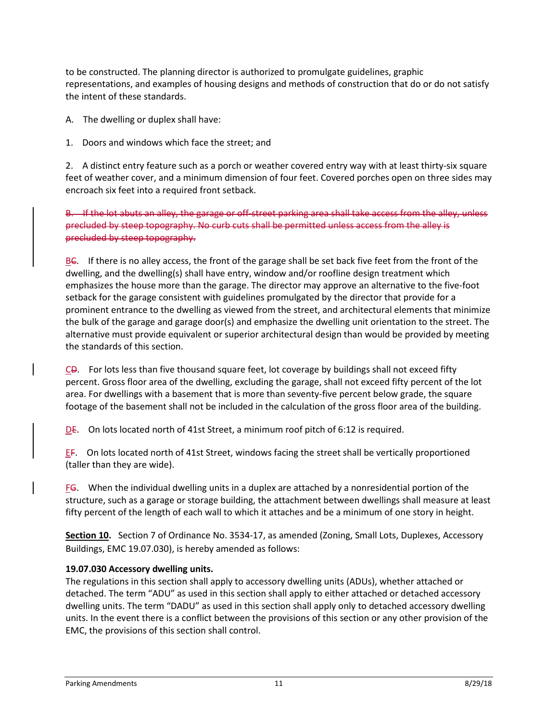to be constructed. The planning director is authorized to promulgate guidelines, graphic representations, and examples of housing designs and methods of construction that do or do not satisfy the intent of these standards.

A. The dwelling or duplex shall have:

1. Doors and windows which face the street; and

2. A distinct entry feature such as a porch or weather covered entry way with at least thirty-six square feet of weather cover, and a minimum dimension of four feet. Covered porches open on three sides may encroach six feet into a required front setback.

B. If the lot abuts an alley, the garage or off-street parking area shall take access from the alley, unless precluded by steep topography. No curb cuts shall be permitted unless access from the alley is precluded by steep topography.

BC. If there is no alley access, the front of the garage shall be set back five feet from the front of the dwelling, and the dwelling(s) shall have entry, window and/or roofline design treatment which emphasizes the house more than the garage. The director may approve an alternative to the five-foot setback for the garage consistent with guidelines promulgated by the director that provide for a prominent entrance to the dwelling as viewed from the street, and architectural elements that minimize the bulk of the garage and garage door(s) and emphasize the dwelling unit orientation to the street. The alternative must provide equivalent or superior architectural design than would be provided by meeting the standards of this section.

 $C$ D. For lots less than five thousand square feet, lot coverage by buildings shall not exceed fifty percent. Gross floor area of the dwelling, excluding the garage, shall not exceed fifty percent of the lot area. For dwellings with a basement that is more than seventy-five percent below grade, the square footage of the basement shall not be included in the calculation of the gross floor area of the building.

DE. On lots located north of 41st Street, a minimum roof pitch of 6:12 is required.

 $E$ F. On lots located north of 41st Street, windows facing the street shall be vertically proportioned (taller than they are wide).

FG. When the individual dwelling units in a duplex are attached by a nonresidential portion of the structure, such as a garage or storage building, the attachment between dwellings shall measure at least fifty percent of the length of each wall to which it attaches and be a minimum of one story in height.

**Section 10.** Section 7 of Ordinance No. 3534-17, as amended (Zoning, Small Lots, Duplexes, Accessory Buildings, EMC 19.07.030), is hereby amended as follows:

# **19.07.030 Accessory dwelling units.**

The regulations in this section shall apply to accessory dwelling units (ADUs), whether attached or detached. The term "ADU" as used in this section shall apply to either attached or detached accessory dwelling units. The term "DADU" as used in this section shall apply only to detached accessory dwelling units. In the event there is a conflict between the provisions of this section or any other provision of the EMC, the provisions of this section shall control.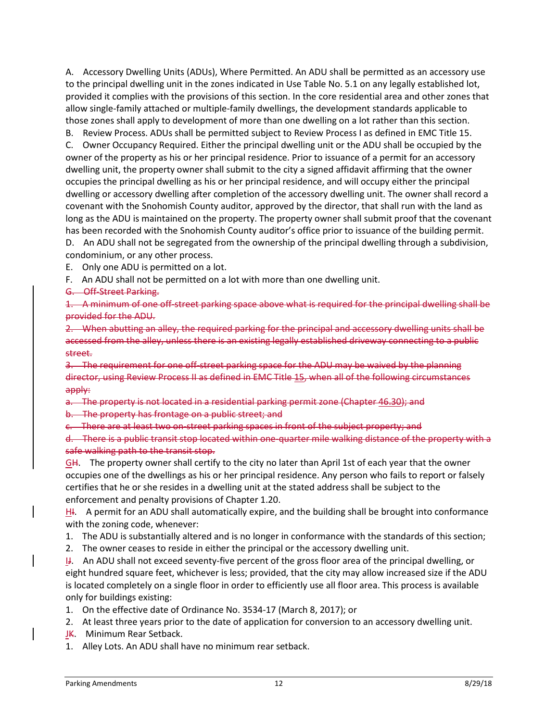A. Accessory Dwelling Units (ADUs), Where Permitted. An ADU shall be permitted as an accessory use to the principal dwelling unit in the zones indicated in Use Table No. 5.1 on any legally established lot, provided it complies with the provisions of this section. In the core residential area and other zones that allow single-family attached or multiple-family dwellings, the development standards applicable to those zones shall apply to development of more than one dwelling on a lot rather than this section.

B. Review Process. ADUs shall be permitted subject to Review Process I as defined in EMC Title 15.

C. Owner Occupancy Required. Either the principal dwelling unit or the ADU shall be occupied by the owner of the property as his or her principal residence. Prior to issuance of a permit for an accessory dwelling unit, the property owner shall submit to the city a signed affidavit affirming that the owner occupies the principal dwelling as his or her principal residence, and will occupy either the principal dwelling or accessory dwelling after completion of the accessory dwelling unit. The owner shall record a covenant with the Snohomish County auditor, approved by the director, that shall run with the land as long as the ADU is maintained on the property. The property owner shall submit proof that the covenant has been recorded with the Snohomish County auditor's office prior to issuance of the building permit. D. An ADU shall not be segregated from the ownership of the principal dwelling through a subdivision,

condominium, or any other process.

E. Only one ADU is permitted on a lot.

F. An ADU shall not be permitted on a lot with more than one dwelling unit.

G. Off-Street Parking.

1. A minimum of one off-street parking space above what is required for the principal dwelling shall be provided for the ADU.

2. When abutting an alley, the required parking for the principal and accessory dwelling units shall be accessed from the alley, unless there is an existing legally established driveway connecting to a public street.

3. The requirement for one off-street parking space for the ADU may be waived by the planning director, using Review Process II as defined in EMC Title 15, when all of the following circumstances apply:

a. The property is not located in a residential parking permit zone (Chapter 46.30); and

b. The property has frontage on a public street; and

c. There are at least two on-street parking spaces in front of the subject property; and

d. There is a public transit stop located within one-quarter mile walking distance of the property with a safe walking path to the transit stop.

GH. The property owner shall certify to the city no later than April 1st of each year that the owner occupies one of the dwellings as his or her principal residence. Any person who fails to report or falsely certifies that he or she resides in a dwelling unit at the stated address shall be subject to the enforcement and penalty provisions of Chapter 1.20.

H<sub>1</sub>. A permit for an ADU shall automatically expire, and the building shall be brought into conformance with the zoning code, whenever:

1. The ADU is substantially altered and is no longer in conformance with the standards of this section;

2. The owner ceases to reside in either the principal or the accessory dwelling unit.

IJ. An ADU shall not exceed seventy-five percent of the gross floor area of the principal dwelling, or eight hundred square feet, whichever is less; provided, that the city may allow increased size if the ADU is located completely on a single floor in order to efficiently use all floor area. This process is available only for buildings existing:

1. On the effective date of Ordinance No. 3534-17 (March 8, 2017); or

2. At least three years prior to the date of application for conversion to an accessory dwelling unit.

JK. Minimum Rear Setback.

1. Alley Lots. An ADU shall have no minimum rear setback.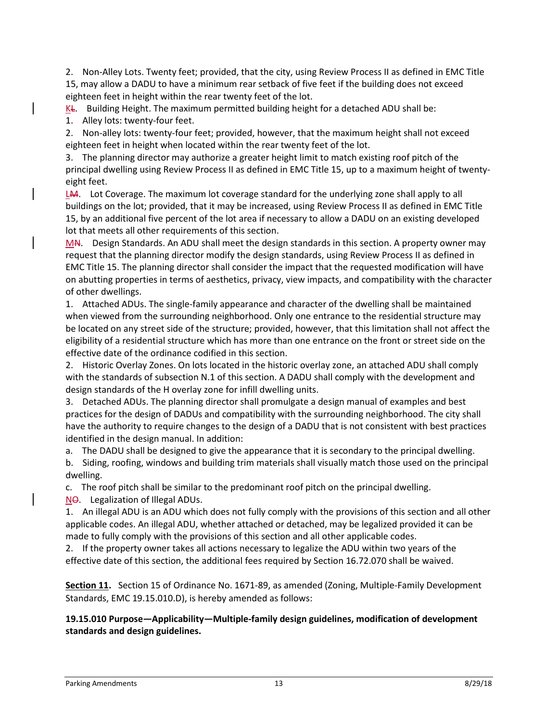2. Non-Alley Lots. Twenty feet; provided, that the city, using Review Process II as defined in EMC Title 15, may allow a DADU to have a minimum rear setback of five feet if the building does not exceed eighteen feet in height within the rear twenty feet of the lot.

 $K$ L. Building Height. The maximum permitted building height for a detached ADU shall be:

1. Alley lots: twenty-four feet.

2. Non-alley lots: twenty-four feet; provided, however, that the maximum height shall not exceed eighteen feet in height when located within the rear twenty feet of the lot.

3. The planning director may authorize a greater height limit to match existing roof pitch of the principal dwelling using Review Process II as defined in EMC Title 15, up to a maximum height of twentyeight feet.

LM. Lot Coverage. The maximum lot coverage standard for the underlying zone shall apply to all buildings on the lot; provided, that it may be increased, using Review Process II as defined in EMC Title 15, by an additional five percent of the lot area if necessary to allow a DADU on an existing developed lot that meets all other requirements of this section.

MN. Design Standards. An ADU shall meet the design standards in this section. A property owner may request that the planning director modify the design standards, using Review Process II as defined in EMC Title 15. The planning director shall consider the impact that the requested modification will have on abutting properties in terms of aesthetics, privacy, view impacts, and compatibility with the character of other dwellings.

1. Attached ADUs. The single-family appearance and character of the dwelling shall be maintained when viewed from the surrounding neighborhood. Only one entrance to the residential structure may be located on any street side of the structure; provided, however, that this limitation shall not affect the eligibility of a residential structure which has more than one entrance on the front or street side on the effective date of the ordinance codified in this section.

2. Historic Overlay Zones. On lots located in the historic overlay zone, an attached ADU shall comply with the standards of subsection N.1 of this section. A DADU shall comply with the development and design standards of the H overlay zone for infill dwelling units.

3. Detached ADUs. The planning director shall promulgate a design manual of examples and best practices for the design of DADUs and compatibility with the surrounding neighborhood. The city shall have the authority to require changes to the design of a DADU that is not consistent with best practices identified in the design manual. In addition:

a. The DADU shall be designed to give the appearance that it is secondary to the principal dwelling. b. Siding, roofing, windows and building trim materials shall visually match those used on the principal

dwelling.

c. The roof pitch shall be similar to the predominant roof pitch on the principal dwelling.

NO. Legalization of Illegal ADUs.

1. An illegal ADU is an ADU which does not fully comply with the provisions of this section and all other applicable codes. An illegal ADU, whether attached or detached, may be legalized provided it can be made to fully comply with the provisions of this section and all other applicable codes.

2. If the property owner takes all actions necessary to legalize the ADU within two years of the effective date of this section, the additional fees required by Section 16.72.070 shall be waived.

**Section 11.** Section 15 of Ordinance No. 1671-89, as amended (Zoning, Multiple-Family Development Standards, EMC 19.15.010.D), is hereby amended as follows:

**19.15.010 Purpose—Applicability—Multiple-family design guidelines, modification of development standards and design guidelines.**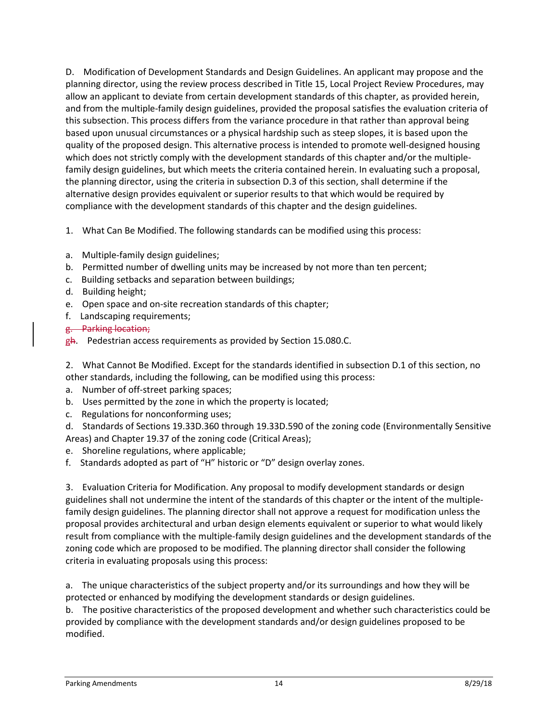D. Modification of Development Standards and Design Guidelines. An applicant may propose and the planning director, using the review process described in Title 15, Local Project Review Procedures, may allow an applicant to deviate from certain development standards of this chapter, as provided herein, and from the multiple-family design guidelines, provided the proposal satisfies the evaluation criteria of this subsection. This process differs from the variance procedure in that rather than approval being based upon unusual circumstances or a physical hardship such as steep slopes, it is based upon the quality of the proposed design. This alternative process is intended to promote well-designed housing which does not strictly comply with the development standards of this chapter and/or the multiplefamily design guidelines, but which meets the criteria contained herein. In evaluating such a proposal, the planning director, using the criteria in subsection D.3 of this section, shall determine if the alternative design provides equivalent or superior results to that which would be required by compliance with the development standards of this chapter and the design guidelines.

1. What Can Be Modified. The following standards can be modified using this process:

- a. Multiple-family design guidelines;
- b. Permitted number of dwelling units may be increased by not more than ten percent;
- c. Building setbacks and separation between buildings;
- d. Building height;
- e. Open space and on-site recreation standards of this chapter;
- f. Landscaping requirements;
- g. Parking location;
- gh. Pedestrian access requirements as provided by Section 15.080.C.

2. What Cannot Be Modified. Except for the standards identified in subsection D.1 of this section, no other standards, including the following, can be modified using this process:

- a. Number of off-street parking spaces;
- b. Uses permitted by the zone in which the property is located;
- c. Regulations for nonconforming uses;

d. Standards of Sections 19.33D.360 through 19.33D.590 of the zoning code (Environmentally Sensitive Areas) and Chapter 19.37 of the zoning code (Critical Areas);

- e. Shoreline regulations, where applicable;
- f. Standards adopted as part of "H" historic or "D" design overlay zones.

3. Evaluation Criteria for Modification. Any proposal to modify development standards or design guidelines shall not undermine the intent of the standards of this chapter or the intent of the multiplefamily design guidelines. The planning director shall not approve a request for modification unless the proposal provides architectural and urban design elements equivalent or superior to what would likely result from compliance with the multiple-family design guidelines and the development standards of the zoning code which are proposed to be modified. The planning director shall consider the following criteria in evaluating proposals using this process:

a. The unique characteristics of the subject property and/or its surroundings and how they will be protected or enhanced by modifying the development standards or design guidelines.

b. The positive characteristics of the proposed development and whether such characteristics could be provided by compliance with the development standards and/or design guidelines proposed to be modified.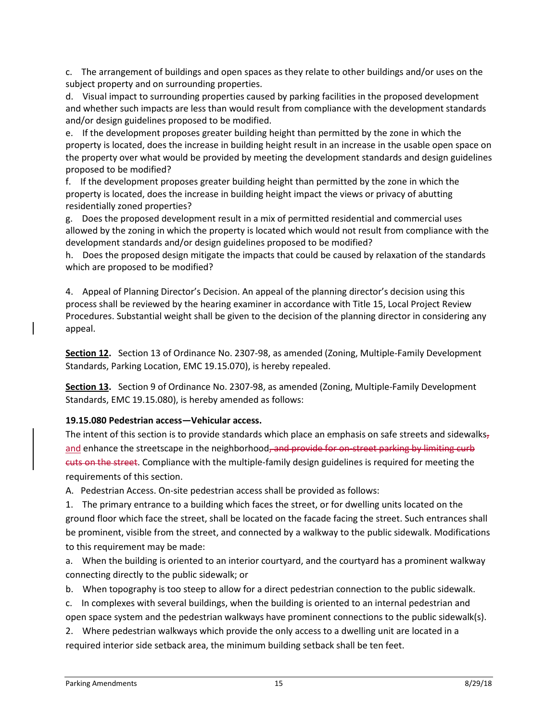c. The arrangement of buildings and open spaces as they relate to other buildings and/or uses on the subject property and on surrounding properties.

d. Visual impact to surrounding properties caused by parking facilities in the proposed development and whether such impacts are less than would result from compliance with the development standards and/or design guidelines proposed to be modified.

e. If the development proposes greater building height than permitted by the zone in which the property is located, does the increase in building height result in an increase in the usable open space on the property over what would be provided by meeting the development standards and design guidelines proposed to be modified?

f. If the development proposes greater building height than permitted by the zone in which the property is located, does the increase in building height impact the views or privacy of abutting residentially zoned properties?

g. Does the proposed development result in a mix of permitted residential and commercial uses allowed by the zoning in which the property is located which would not result from compliance with the development standards and/or design guidelines proposed to be modified?

h. Does the proposed design mitigate the impacts that could be caused by relaxation of the standards which are proposed to be modified?

4. Appeal of Planning Director's Decision. An appeal of the planning director's decision using this process shall be reviewed by the hearing examiner in accordance with Title 15, Local Project Review Procedures. Substantial weight shall be given to the decision of the planning director in considering any appeal.

**Section 12.** Section 13 of Ordinance No. 2307-98, as amended (Zoning, Multiple-Family Development Standards, Parking Location, EMC 19.15.070), is hereby repealed.

**Section 13.** Section 9 of Ordinance No. 2307-98, as amended (Zoning, Multiple-Family Development Standards, EMC 19.15.080), is hereby amended as follows:

#### **19.15.080 Pedestrian access—Vehicular access.**

The intent of this section is to provide standards which place an emphasis on safe streets and sidewalks $<sub>7</sub>$ </sub> and enhance the streetscape in the neighborhood, and provide for on-street parking by limiting curb cuts on the street. Compliance with the multiple-family design guidelines is required for meeting the requirements of this section.

A. Pedestrian Access. On-site pedestrian access shall be provided as follows:

1. The primary entrance to a building which faces the street, or for dwelling units located on the ground floor which face the street, shall be located on the facade facing the street. Such entrances shall be prominent, visible from the street, and connected by a walkway to the public sidewalk. Modifications to this requirement may be made:

a. When the building is oriented to an interior courtyard, and the courtyard has a prominent walkway connecting directly to the public sidewalk; or

b. When topography is too steep to allow for a direct pedestrian connection to the public sidewalk.

c. In complexes with several buildings, when the building is oriented to an internal pedestrian and open space system and the pedestrian walkways have prominent connections to the public sidewalk(s).

2. Where pedestrian walkways which provide the only access to a dwelling unit are located in a required interior side setback area, the minimum building setback shall be ten feet.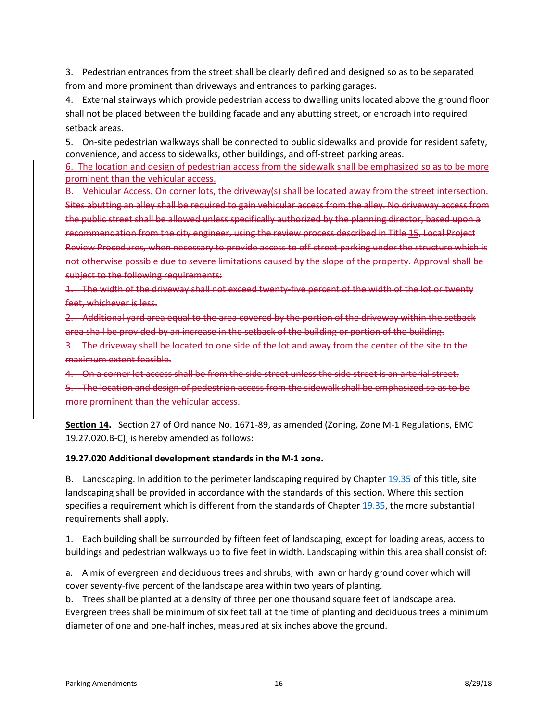3. Pedestrian entrances from the street shall be clearly defined and designed so as to be separated from and more prominent than driveways and entrances to parking garages.

4. External stairways which provide pedestrian access to dwelling units located above the ground floor shall not be placed between the building facade and any abutting street, or encroach into required setback areas.

5. On-site pedestrian walkways shall be connected to public sidewalks and provide for resident safety, convenience, and access to sidewalks, other buildings, and off-street parking areas.

6. The location and design of pedestrian access from the sidewalk shall be emphasized so as to be more prominent than the vehicular access.

B. Vehicular Access. On corner lots, the driveway(s) shall be located away from the street intersection. Sites abutting an alley shall be required to gain vehicular access from the alley. No driveway access from the public street shall be allowed unless specifically authorized by the planning director, based upon a recommendation from the city engineer, using the review process described in Title 15, Local Project Review Procedures, when necessary to provide access to off-street parking under the structure which is not otherwise possible due to severe limitations caused by the slope of the property. Approval shall be subject to the following requirements:

1. The width of the driveway shall not exceed twenty-five percent of the width of the lot or twenty feet, whichever is less.

2. Additional yard area equal to the area covered by the portion of the driveway within the setback area shall be provided by an increase in the setback of the building or portion of the building.

3. The driveway shall be located to one side of the lot and away from the center of the site to the maximum extent feasible.

4. On a corner lot access shall be from the side street unless the side street is an arterial street.

5. The location and design of pedestrian access from the sidewalk shall be emphasized so as to be more prominent than the vehicular access.

**Section 14.** Section 27 of Ordinance No. 1671-89, as amended (Zoning, Zone M-1 Regulations, EMC 19.27.020.B-C), is hereby amended as follows:

#### **19.27.020 Additional development standards in the M-1 zone.**

B. Landscaping. In addition to the perimeter landscaping required by Chapter [19.35](http://www.codepublishing.com/WA/Everett/#!/Everett19/Everett1935.html#19.35) of this title, site landscaping shall be provided in accordance with the standards of this section. Where this section specifies a requirement which is different from the standards of Chapte[r 19.35,](http://www.codepublishing.com/WA/Everett/#!/Everett19/Everett1935.html#19.35) the more substantial requirements shall apply.

1. Each building shall be surrounded by fifteen feet of landscaping, except for loading areas, access to buildings and pedestrian walkways up to five feet in width. Landscaping within this area shall consist of:

a. A mix of evergreen and deciduous trees and shrubs, with lawn or hardy ground cover which will cover seventy-five percent of the landscape area within two years of planting.

b. Trees shall be planted at a density of three per one thousand square feet of landscape area. Evergreen trees shall be minimum of six feet tall at the time of planting and deciduous trees a minimum diameter of one and one-half inches, measured at six inches above the ground.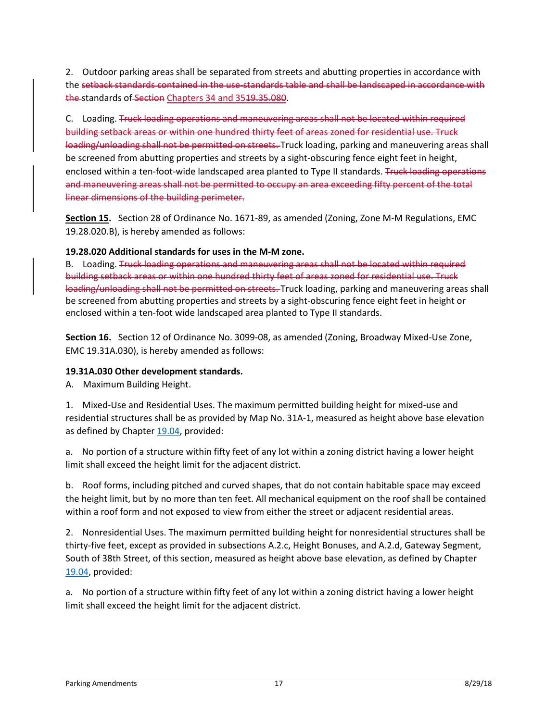2. Outdoor parking areas shall be separated from streets and abutting properties in accordance with the setback standards contained in the use-standards table and shall be landscaped in accordance with the standards of Section Chapters 34 and 3519.35.080.

C. Loading. Truck loading operations and maneuvering areas shall not be located within required building setback areas or within one hundred thirty feet of areas zoned for residential use. Truck loading/unloading shall not be permitted on streets. Truck loading, parking and maneuvering areas shall be screened from abutting properties and streets by a sight-obscuring fence eight feet in height, enclosed within a ten-foot-wide landscaped area planted to Type II standards. Truck loading operations and maneuvering areas shall not be permitted to occupy an area exceeding fifty percent of the total linear dimensions of the building perimeter.

**Section 15.** Section 28 of Ordinance No. 1671-89, as amended (Zoning, Zone M-M Regulations, EMC 19.28.020.B), is hereby amended as follows:

#### **19.28.020 Additional standards for uses in the M-M zone.**

B. Loading. Truck loading operations and maneuvering areas shall not be located within required building setback areas or within one hundred thirty feet of areas zoned for residential use. Truck loading/unloading shall not be permitted on streets. Truck loading, parking and maneuvering areas shall be screened from abutting properties and streets by a sight-obscuring fence eight feet in height or enclosed within a ten-foot wide landscaped area planted to Type II standards.

**Section 16.** Section 12 of Ordinance No. 3099-08, as amended (Zoning, Broadway Mixed-Use Zone, EMC 19.31A.030), is hereby amended as follows:

#### **19.31A.030 Other development standards.**

A. Maximum Building Height.

1. Mixed-Use and Residential Uses. The maximum permitted building height for mixed-use and residential structures shall be as provided by Map No. 31A-1, measured as height above base elevation as defined by Chapter [19.04,](http://www.codepublishing.com/WA/Everett/#!/Everett19/Everett1904.html#19.04) provided:

a. No portion of a structure within fifty feet of any lot within a zoning district having a lower height limit shall exceed the height limit for the adjacent district.

b. Roof forms, including pitched and curved shapes, that do not contain habitable space may exceed the height limit, but by no more than ten feet. All mechanical equipment on the roof shall be contained within a roof form and not exposed to view from either the street or adjacent residential areas.

2. Nonresidential Uses. The maximum permitted building height for nonresidential structures shall be thirty-five feet, except as provided in subsections A.2.c, Height Bonuses, and A.2.d, Gateway Segment, South of 38th Street, of this section, measured as height above base elevation, as defined by Chapter [19.04,](http://www.codepublishing.com/WA/Everett/#!/Everett19/Everett1904.html#19.04) provided:

a. No portion of a structure within fifty feet of any lot within a zoning district having a lower height limit shall exceed the height limit for the adjacent district.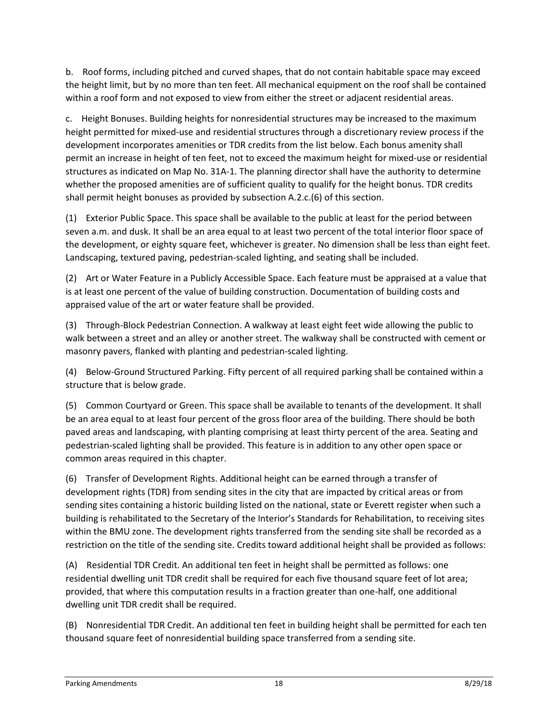b. Roof forms, including pitched and curved shapes, that do not contain habitable space may exceed the height limit, but by no more than ten feet. All mechanical equipment on the roof shall be contained within a roof form and not exposed to view from either the street or adjacent residential areas.

c. Height Bonuses. Building heights for nonresidential structures may be increased to the maximum height permitted for mixed-use and residential structures through a discretionary review process if the development incorporates amenities or TDR credits from the list below. Each bonus amenity shall permit an increase in height of ten feet, not to exceed the maximum height for mixed-use or residential structures as indicated on Map No. 31A-1. The planning director shall have the authority to determine whether the proposed amenities are of sufficient quality to qualify for the height bonus. TDR credits shall permit height bonuses as provided by subsection A.2.c.(6) of this section.

(1) Exterior Public Space. This space shall be available to the public at least for the period between seven a.m. and dusk. It shall be an area equal to at least two percent of the total interior floor space of the development, or eighty square feet, whichever is greater. No dimension shall be less than eight feet. Landscaping, textured paving, pedestrian-scaled lighting, and seating shall be included.

(2) Art or Water Feature in a Publicly Accessible Space. Each feature must be appraised at a value that is at least one percent of the value of building construction. Documentation of building costs and appraised value of the art or water feature shall be provided.

(3) Through-Block Pedestrian Connection. A walkway at least eight feet wide allowing the public to walk between a street and an alley or another street. The walkway shall be constructed with cement or masonry pavers, flanked with planting and pedestrian-scaled lighting.

(4) Below-Ground Structured Parking. Fifty percent of all required parking shall be contained within a structure that is below grade.

(5) Common Courtyard or Green. This space shall be available to tenants of the development. It shall be an area equal to at least four percent of the gross floor area of the building. There should be both paved areas and landscaping, with planting comprising at least thirty percent of the area. Seating and pedestrian-scaled lighting shall be provided. This feature is in addition to any other open space or common areas required in this chapter.

(6) Transfer of Development Rights. Additional height can be earned through a transfer of development rights (TDR) from sending sites in the city that are impacted by critical areas or from sending sites containing a historic building listed on the national, state or Everett register when such a building is rehabilitated to the Secretary of the Interior's Standards for Rehabilitation, to receiving sites within the BMU zone. The development rights transferred from the sending site shall be recorded as a restriction on the title of the sending site. Credits toward additional height shall be provided as follows:

(A) Residential TDR Credit. An additional ten feet in height shall be permitted as follows: one residential dwelling unit TDR credit shall be required for each five thousand square feet of lot area; provided, that where this computation results in a fraction greater than one-half, one additional dwelling unit TDR credit shall be required.

(B) Nonresidential TDR Credit. An additional ten feet in building height shall be permitted for each ten thousand square feet of nonresidential building space transferred from a sending site.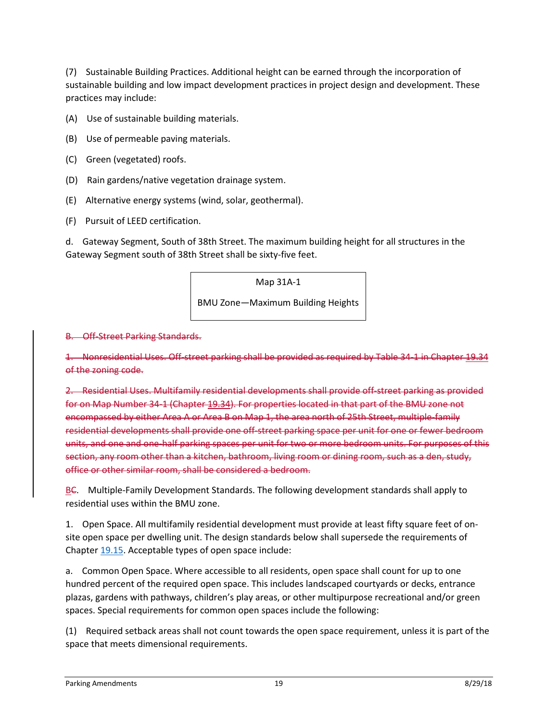(7) Sustainable Building Practices. Additional height can be earned through the incorporation of sustainable building and low impact development practices in project design and development. These practices may include:

- (A) Use of sustainable building materials.
- (B) Use of permeable paving materials.
- (C) Green (vegetated) roofs.
- (D) Rain gardens/native vegetation drainage system.
- (E) Alternative energy systems (wind, solar, geothermal).
- (F) Pursuit of LEED certification.

d. Gateway Segment, South of 38th Street. The maximum building height for all structures in the Gateway Segment south of 38th Street shall be sixty-five feet.

Map 31A-1

BMU Zone—Maximum Building Heights

#### B. Off-Street Parking Standards.

1. Nonresidential Uses. Off-street parking shall be provided as required by Table 34-1 in Chapter 19.34 of the zoning code.

2. Residential Uses. Multifamily residential developments shall provide off-street parking as provided for on Map Number 34-1 (Chapter 19.34). For properties located in that part of the BMU zone not encompassed by either Area A or Area B on Map 1, the area north of 25th Street, multiple-family residential developments shall provide one off-street parking space per unit for one or fewer bedroom units, and one and one-half parking spaces per unit for two or more bedroom units. For purposes of this section, any room other than a kitchen, bathroom, living room or dining room, such as a den, study, office or other similar room, shall be considered a bedroom.

BC. Multiple-Family Development Standards. The following development standards shall apply to residential uses within the BMU zone.

1. Open Space. All multifamily residential development must provide at least fifty square feet of onsite open space per dwelling unit. The design standards below shall supersede the requirements of Chapter [19.15.](http://www.codepublishing.com/WA/Everett/#!/Everett19/Everett1915.html#19.15) Acceptable types of open space include:

a. Common Open Space. Where accessible to all residents, open space shall count for up to one hundred percent of the required open space. This includes landscaped courtyards or decks, entrance plazas, gardens with pathways, children's play areas, or other multipurpose recreational and/or green spaces. Special requirements for common open spaces include the following:

(1) Required setback areas shall not count towards the open space requirement, unless it is part of the space that meets dimensional requirements.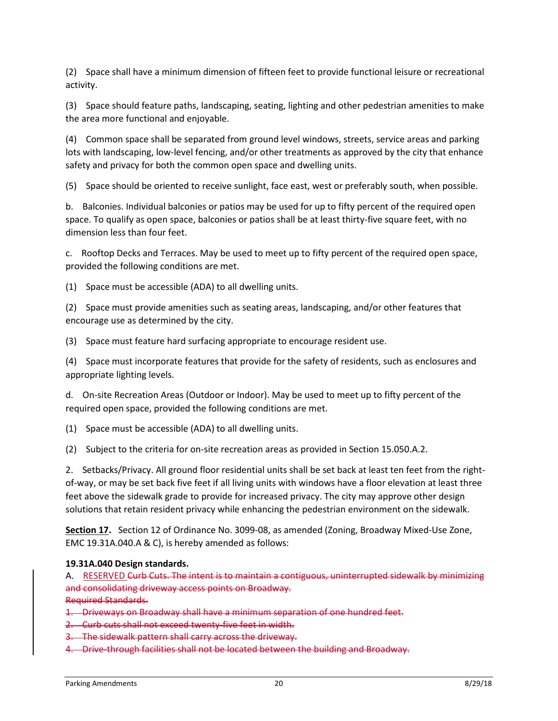(2) Space shall have a minimum dimension of fifteen feet to provide functional leisure or recreational activity.

(3) Space should feature paths, landscaping, seating, lighting and other pedestrian amenities to make the area more functional and enjoyable.

(4) Common space shall be separated from ground level windows, streets, service areas and parking lots with landscaping, low-level fencing, and/or other treatments as approved by the city that enhance safety and privacy for both the common open space and dwelling units.

(5) Space should be oriented to receive sunlight, face east, west or preferably south, when possible.

b. Balconies. Individual balconies or patios may be used for up to fifty percent of the required open space. To qualify as open space, balconies or patios shall be at least thirty-five square feet, with no dimension less than four feet.

c. Rooftop Decks and Terraces. May be used to meet up to fifty percent of the required open space, provided the following conditions are met.

(1) Space must be accessible (ADA) to all dwelling units.

(2) Space must provide amenities such as seating areas, landscaping, and/or other features that encourage use as determined by the city.

(3) Space must feature hard surfacing appropriate to encourage resident use.

(4) Space must incorporate features that provide for the safety of residents, such as enclosures and appropriate lighting levels.

d. On-site Recreation Areas (Outdoor or Indoor). May be used to meet up to fifty percent of the required open space, provided the following conditions are met.

(1) Space must be accessible (ADA) to all dwelling units.

(2) Subject to the criteria for on-site recreation areas as provided in Section 15.050.A.2.

2. Setbacks/Privacy. All ground floor residential units shall be set back at least ten feet from the rightof-way, or may be set back five feet if all living units with windows have a floor elevation at least three feet above the sidewalk grade to provide for increased privacy. The city may approve other design solutions that retain resident privacy while enhancing the pedestrian environment on the sidewalk.

**Section 17.** Section 12 of Ordinance No. 3099-08, as amended (Zoning, Broadway Mixed-Use Zone, EMC 19.31A.040.A & C), is hereby amended as follows:

#### **19.31A.040 Design standards.**

A. RESERVED Curb Cuts. The intent is to maintain a contiguous, uninterrupted sidewalk by minimizing and consolidating driveway access points on Broadway.

Required Standards.

- 1. Driveways on Broadway shall have a minimum separation of one hundred feet.
- 2. Curb cuts shall not exceed twenty-five feet in width.
- 3. The sidewalk pattern shall carry across the driveway.
- 4. Drive-through facilities shall not be located between the building and Broadway.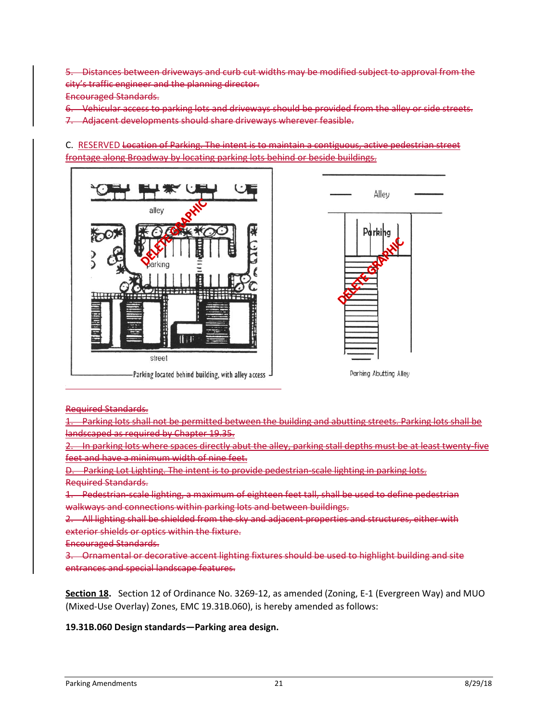5. Distances between driveways and curb cut widths may be modified subject to approval from the city's traffic engineer and the planning director.

Encouraged Standards.

6. Vehicular access to parking lots and driveways should be provided from the alley or side streets. 7. Adjacent developments should share driveways wherever feasible.

C. RESERVED Location of Parking. The intent is to maintain a contiguous, active pedestrian street frontage along Broadway by locating parking lots behind or beside buildings.





Parking Abutting Alley

Required Standards.

1. Parking lots shall not be permitted between the building and abutting streets. Parking lots shall be landscaped as required by Chapter 19.35.

2. In parking lots where spaces directly abut the alley, parking stall depths must be at least twenty-five feet and have a minimum width of nine feet.

D. Parking Lot Lighting. The intent is to provide pedestrian-scale lighting in parking lots. Required Standards.

1. Pedestrian-scale lighting, a maximum of eighteen feet tall, shall be used to define pedestrian walkways and connections within parking lots and between buildings.

2. All lighting shall be shielded from the sky and adjacent properties and structures, either with exterior shields or optics within the fixture.

Encouraged Standards.

3. Ornamental or decorative accent lighting fixtures should be used to highlight building and site entrances and special landscape features.

**Section 18.** Section 12 of Ordinance No. 3269-12, as amended (Zoning, E-1 (Evergreen Way) and MUO (Mixed-Use Overlay) Zones, EMC 19.31B.060), is hereby amended as follows:

#### **19.31B.060 Design standards—Parking area design.**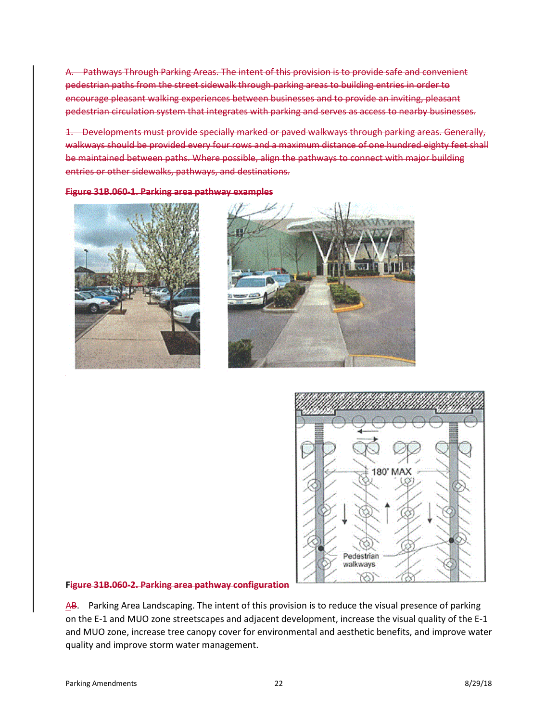A. Pathways Through Parking Areas. The intent of this provision is to provide safe and convenient pedestrian paths from the street sidewalk through parking areas to building entries in order to encourage pleasant walking experiences between businesses and to provide an inviting, pleasant pedestrian circulation system that integrates with parking and serves as access to nearby businesses.

1. Developments must provide specially marked or paved walkways through parking areas. Generally, walkways should be provided every four rows and a maximum distance of one hundred eighty feet shall be maintained between paths. Where possible, align the pathways to connect with major building entries or other sidewalks, pathways, and destinations.

**Figure 31B.060-1. Parking area pathway examples**







#### **Figure 31B.060-2. Parking area pathway configuration**

AB. Parking Area Landscaping. The intent of this provision is to reduce the visual presence of parking on the E-1 and MUO zone streetscapes and adjacent development, increase the visual quality of the E-1 and MUO zone, increase tree canopy cover for environmental and aesthetic benefits, and improve water quality and improve storm water management.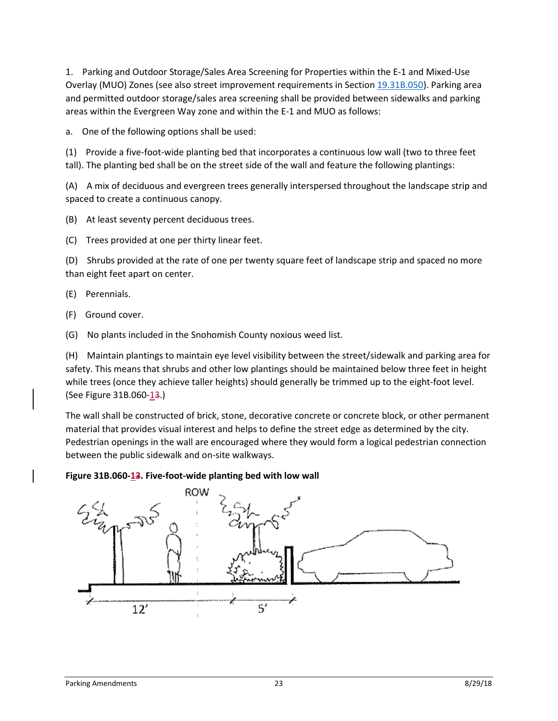1. Parking and Outdoor Storage/Sales Area Screening for Properties within the E-1 and Mixed-Use Overlay (MUO) Zones (see also street improvement requirements in Section [19.31B.050\)](http://www.codepublishing.com/WA/Everett/#!/Everett19/Everett1931B.html#19.31B.050). Parking area and permitted outdoor storage/sales area screening shall be provided between sidewalks and parking areas within the Evergreen Way zone and within the E-1 and MUO as follows:

a. One of the following options shall be used:

(1) Provide a five-foot-wide planting bed that incorporates a continuous low wall (two to three feet tall). The planting bed shall be on the street side of the wall and feature the following plantings:

(A) A mix of deciduous and evergreen trees generally interspersed throughout the landscape strip and spaced to create a continuous canopy.

(B) At least seventy percent deciduous trees.

(C) Trees provided at one per thirty linear feet.

(D) Shrubs provided at the rate of one per twenty square feet of landscape strip and spaced no more than eight feet apart on center.

(E) Perennials.

(F) Ground cover.

(G) No plants included in the Snohomish County noxious weed list.

(H) Maintain plantings to maintain eye level visibility between the street/sidewalk and parking area for safety. This means that shrubs and other low plantings should be maintained below three feet in height while trees (once they achieve taller heights) should generally be trimmed up to the eight-foot level. (See Figure 31B.060-13.)

The wall shall be constructed of brick, stone, decorative concrete or concrete block, or other permanent material that provides visual interest and helps to define the street edge as determined by the city. Pedestrian openings in the wall are encouraged where they would form a logical pedestrian connection between the public sidewalk and on-site walkways.

#### Figure 31B.060-13. Five-foot-wide planting bed with low wall

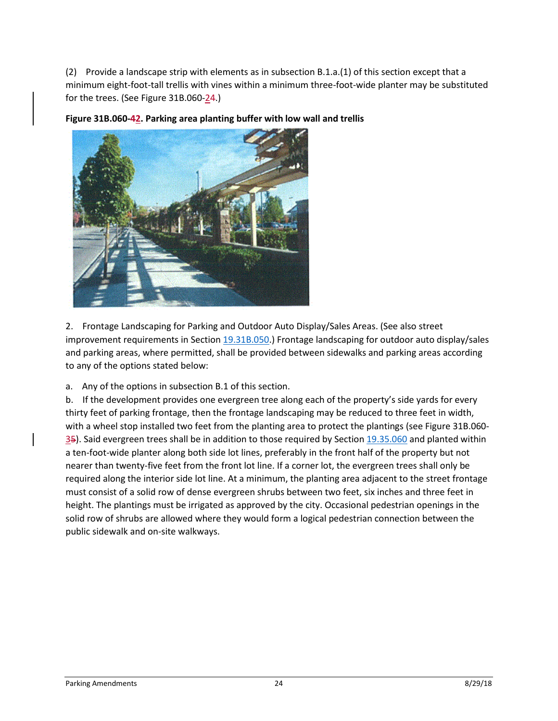(2) Provide a landscape strip with elements as in subsection B.1.a.(1) of this section except that a minimum eight-foot-tall trellis with vines within a minimum three-foot-wide planter may be substituted for the trees. (See Figure 31B.060-24.)



**Figure 31B.060-42. Parking area planting buffer with low wall and trellis**

2. Frontage Landscaping for Parking and Outdoor Auto Display/Sales Areas. (See also street improvement requirements in Section [19.31B.050.](http://www.codepublishing.com/WA/Everett/#!/Everett19/Everett1931B.html#19.31B.050)) Frontage landscaping for outdoor auto display/sales and parking areas, where permitted, shall be provided between sidewalks and parking areas according to any of the options stated below:

a. Any of the options in subsection B.1 of this section.

b. If the development provides one evergreen tree along each of the property's side yards for every thirty feet of parking frontage, then the frontage landscaping may be reduced to three feet in width, with a wheel stop installed two feet from the planting area to protect the plantings (see Figure 31B.060- 35). Said evergreen trees shall be in addition to those required by Section [19.35.060](http://www.codepublishing.com/WA/Everett/#!/Everett19/Everett1935.html#19.35.060) and planted within a ten-foot-wide planter along both side lot lines, preferably in the front half of the property but not nearer than twenty-five feet from the front lot line. If a corner lot, the evergreen trees shall only be required along the interior side lot line. At a minimum, the planting area adjacent to the street frontage must consist of a solid row of dense evergreen shrubs between two feet, six inches and three feet in height. The plantings must be irrigated as approved by the city. Occasional pedestrian openings in the solid row of shrubs are allowed where they would form a logical pedestrian connection between the public sidewalk and on-site walkways.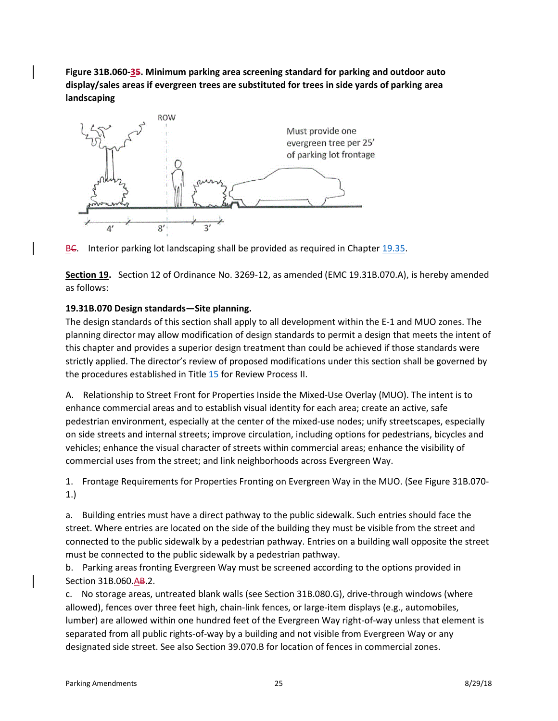**Figure 31B.060-35. Minimum parking area screening standard for parking and outdoor auto display/sales areas if evergreen trees are substituted for trees in side yards of parking area landscaping**





**Section 19.** Section 12 of Ordinance No. 3269-12, as amended (EMC 19.31B.070.A), is hereby amended as follows:

# **19.31B.070 Design standards—Site planning.**

The design standards of this section shall apply to all development within the E-1 and MUO zones. The planning director may allow modification of design standards to permit a design that meets the intent of this chapter and provides a superior design treatment than could be achieved if those standards were strictly applied. The director's review of proposed modifications under this section shall be governed by the procedures established in Title [15](http://www.codepublishing.com/WA/Everett/#!/Everett15/Everett15.html#15) for Review Process II.

A. Relationship to Street Front for Properties Inside the Mixed-Use Overlay (MUO). The intent is to enhance commercial areas and to establish visual identity for each area; create an active, safe pedestrian environment, especially at the center of the mixed-use nodes; unify streetscapes, especially on side streets and internal streets; improve circulation, including options for pedestrians, bicycles and vehicles; enhance the visual character of streets within commercial areas; enhance the visibility of commercial uses from the street; and link neighborhoods across Evergreen Way.

1. Frontage Requirements for Properties Fronting on Evergreen Way in the MUO. (See Figure 31B.070- 1.)

a. Building entries must have a direct pathway to the public sidewalk. Such entries should face the street. Where entries are located on the side of the building they must be visible from the street and connected to the public sidewalk by a pedestrian pathway. Entries on a building wall opposite the street must be connected to the public sidewalk by a pedestrian pathway.

b. Parking areas fronting Evergreen Way must be screened according to the options provided in Section 31B.060.AB.2.

c. No storage areas, untreated blank walls (see Section 31B.080.G), drive-through windows (where allowed), fences over three feet high, chain-link fences, or large-item displays (e.g., automobiles, lumber) are allowed within one hundred feet of the Evergreen Way right-of-way unless that element is separated from all public rights-of-way by a building and not visible from Evergreen Way or any designated side street. See also Section 39.070.B for location of fences in commercial zones.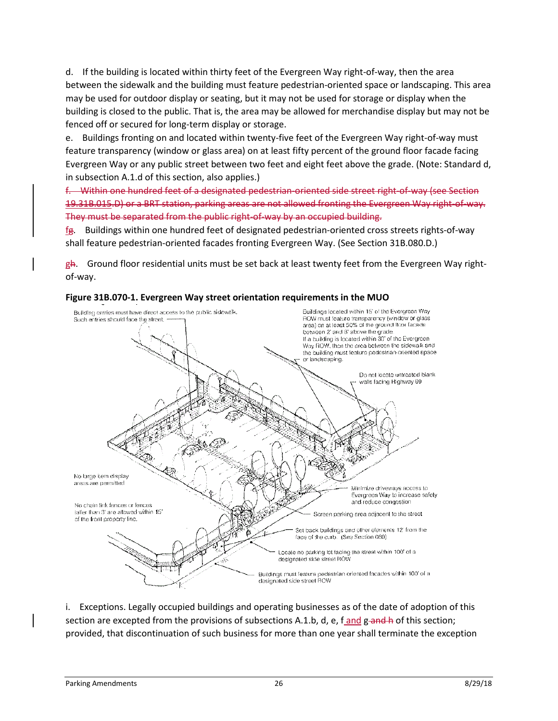d. If the building is located within thirty feet of the Evergreen Way right-of-way, then the area between the sidewalk and the building must feature pedestrian-oriented space or landscaping. This area may be used for outdoor display or seating, but it may not be used for storage or display when the building is closed to the public. That is, the area may be allowed for merchandise display but may not be fenced off or secured for long-term display or storage.

e. Buildings fronting on and located within twenty-five feet of the Evergreen Way right-of-way must feature transparency (window or glass area) on at least fifty percent of the ground floor facade facing Evergreen Way or any public street between two feet and eight feet above the grade. (Note: Standard d, in subsection A.1.d of this section, also applies.)

f. Within one hundred feet of a designated pedestrian-oriented side street right-of-way (see Section 19.31B.015.D) or a BRT station, parking areas are not allowed fronting the Evergreen Way right-of-way. They must be separated from the public right-of-way by an occupied building.

fg. Buildings within one hundred feet of designated pedestrian-oriented cross streets rights-of-way shall feature pedestrian-oriented facades fronting Evergreen Way. (See Section 31B.080.D.)

 $gA$ . Ground floor residential units must be set back at least twenty feet from the Evergreen Way rightof-way.



#### **Figure 31B.070-1. Evergreen Way street orientation requirements in the MUO**

i. Exceptions. Legally occupied buildings and operating businesses as of the date of adoption of this section are excepted from the provisions of subsections A.1.b, d, e,  $f$  and g and h of this section; provided, that discontinuation of such business for more than one year shall terminate the exception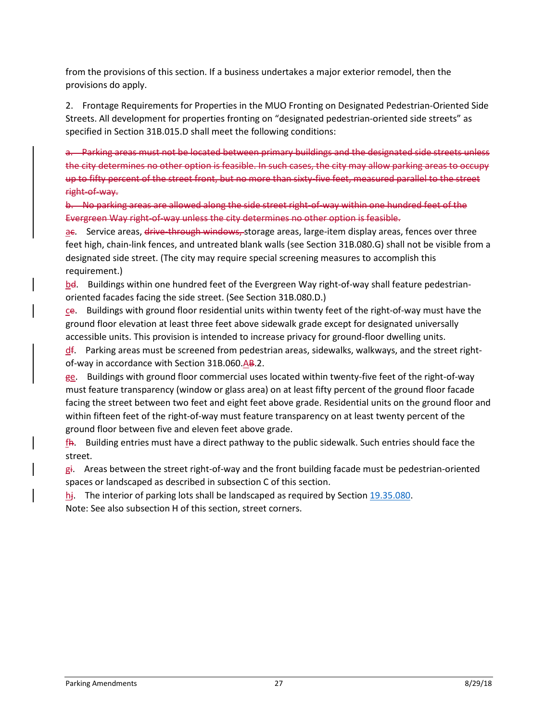from the provisions of this section. If a business undertakes a major exterior remodel, then the provisions do apply.

2. Frontage Requirements for Properties in the MUO Fronting on Designated Pedestrian-Oriented Side Streets. All development for properties fronting on "designated pedestrian-oriented side streets" as specified in Section 31B.015.D shall meet the following conditions:

a. Parking areas must not be located between primary buildings and the designated side streets unless the city determines no other option is feasible. In such cases, the city may allow parking areas to occupy up to fifty percent of the street front, but no more than sixty-five feet, measured parallel to the street right-of-way.

b. No parking areas are allowed along the side street right-of-way within one hundred feet of the Evergreen Way right-of-way unless the city determines no other option is feasible.

ae. Service areas, drive-through windows, storage areas, large-item display areas, fences over three feet high, chain-link fences, and untreated blank walls (see Section 31B.080.G) shall not be visible from a designated side street. (The city may require special screening measures to accomplish this requirement.)

bd. Buildings within one hundred feet of the Evergreen Way right-of-way shall feature pedestrianoriented facades facing the side street. (See Section 31B.080.D.)

ce. Buildings with ground floor residential units within twenty feet of the right-of-way must have the ground floor elevation at least three feet above sidewalk grade except for designated universally accessible units. This provision is intended to increase privacy for ground-floor dwelling units.

 $\frac{d}{dx}$ . Parking areas must be screened from pedestrian areas, sidewalks, walkways, and the street rightof-way in accordance with Section 31B.060.AB.2.

ge. Buildings with ground floor commercial uses located within twenty-five feet of the right-of-way must feature transparency (window or glass area) on at least fifty percent of the ground floor facade facing the street between two feet and eight feet above grade. Residential units on the ground floor and within fifteen feet of the right-of-way must feature transparency on at least twenty percent of the ground floor between five and eleven feet above grade.

 $f$ h. Building entries must have a direct pathway to the public sidewalk. Such entries should face the street.

 $g_i$ . Areas between the street right-of-way and the front building facade must be pedestrian-oriented spaces or landscaped as described in subsection C of this section.

hj. The interior of parking lots shall be landscaped as required by Section [19.35.080.](http://www.codepublishing.com/WA/Everett/#!/Everett19/Everett1935.html#19.35.080)

Note: See also subsection H of this section, street corners.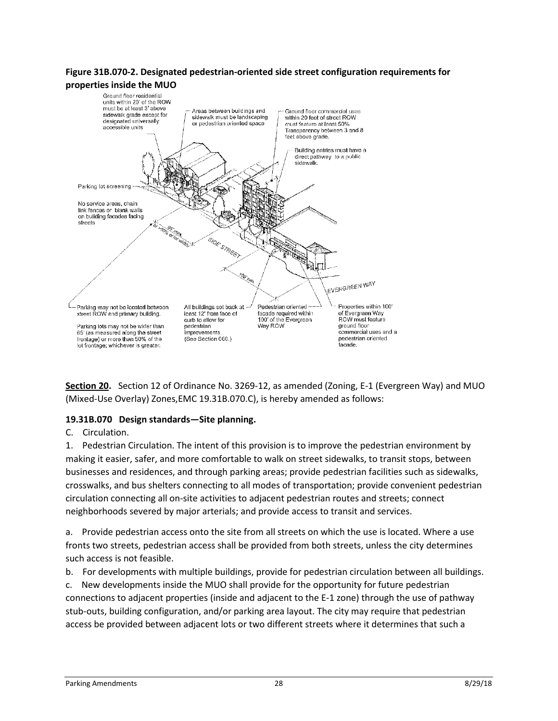# **Figure 31B.070-2. Designated pedestrian-oriented side street configuration requirements for**



**Section 20.** Section 12 of Ordinance No. 3269-12, as amended (Zoning, E-1 (Evergreen Way) and MUO (Mixed-Use Overlay) Zones,EMC 19.31B.070.C), is hereby amended as follows:

#### **19.31B.070 Design standards—Site planning.**

#### C. Circulation.

1. Pedestrian Circulation. The intent of this provision is to improve the pedestrian environment by making it easier, safer, and more comfortable to walk on street sidewalks, to transit stops, between businesses and residences, and through parking areas; provide pedestrian facilities such as sidewalks, crosswalks, and bus shelters connecting to all modes of transportation; provide convenient pedestrian circulation connecting all on-site activities to adjacent pedestrian routes and streets; connect neighborhoods severed by major arterials; and provide access to transit and services.

a. Provide pedestrian access onto the site from all streets on which the use is located. Where a use fronts two streets, pedestrian access shall be provided from both streets, unless the city determines such access is not feasible.

b. For developments with multiple buildings, provide for pedestrian circulation between all buildings.

c. New developments inside the MUO shall provide for the opportunity for future pedestrian connections to adjacent properties (inside and adjacent to the E-1 zone) through the use of pathway stub-outs, building configuration, and/or parking area layout. The city may require that pedestrian access be provided between adjacent lots or two different streets where it determines that such a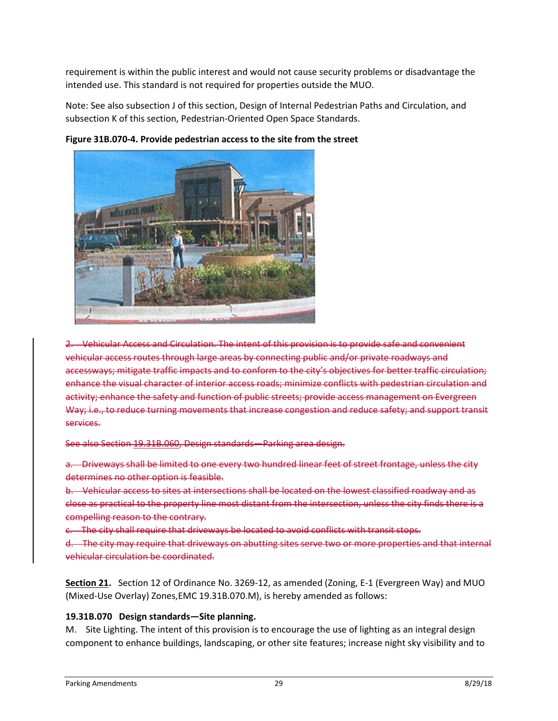requirement is within the public interest and would not cause security problems or disadvantage the intended use. This standard is not required for properties outside the MUO.

Note: See also subsection J of this section, Design of Internal Pedestrian Paths and Circulation, and subsection K of this section, Pedestrian-Oriented Open Space Standards.



**Figure 31B.070-4. Provide pedestrian access to the site from the street**

2. Vehicular Access and Circulation. The intent of this provision is to provide safe and convenient vehicular access routes through large areas by connecting public and/or private roadways and accessways; mitigate traffic impacts and to conform to the city's objectives for better traffic circulation; enhance the visual character of interior access roads; minimize conflicts with pedestrian circulation and activity; enhance the safety and function of public streets; provide access management on Evergreen Way; i.e., to reduce turning movements that increase congestion and reduce safety; and support transit services.

See also Section 19.31B.060, Design standards—Parking area design.

a. Driveways shall be limited to one every two hundred linear feet of street frontage, unless the city determines no other option is feasible.

b. Vehicular access to sites at intersections shall be located on the lowest classified roadway and as close as practical to the property line most distant from the intersection, unless the city finds there is a compelling reason to the contrary.

c. The city shall require that driveways be located to avoid conflicts with transit stops.

d. The city may require that driveways on abutting sites serve two or more properties and that internal vehicular circulation be coordinated.

**Section 21.** Section 12 of Ordinance No. 3269-12, as amended (Zoning, E-1 (Evergreen Way) and MUO (Mixed-Use Overlay) Zones,EMC 19.31B.070.M), is hereby amended as follows:

# **19.31B.070 Design standards—Site planning.**

M. Site Lighting. The intent of this provision is to encourage the use of lighting as an integral design component to enhance buildings, landscaping, or other site features; increase night sky visibility and to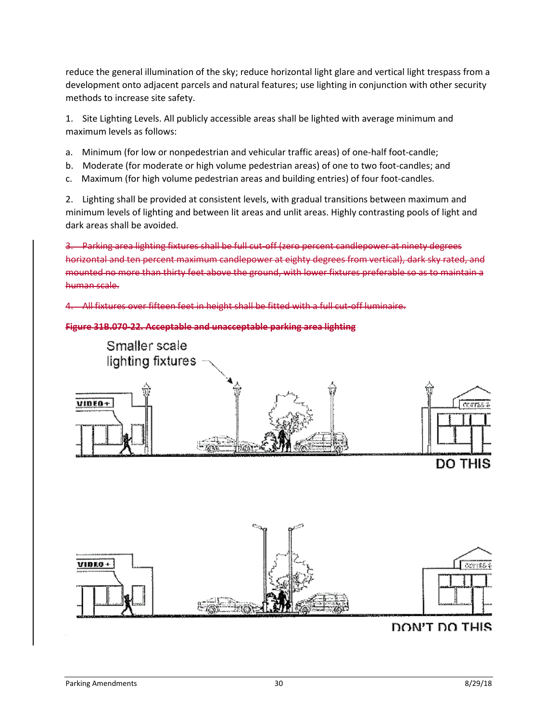reduce the general illumination of the sky; reduce horizontal light glare and vertical light trespass from a development onto adjacent parcels and natural features; use lighting in conjunction with other security methods to increase site safety.

1. Site Lighting Levels. All publicly accessible areas shall be lighted with average minimum and maximum levels as follows:

- a. Minimum (for low or nonpedestrian and vehicular traffic areas) of one-half foot-candle;
- b. Moderate (for moderate or high volume pedestrian areas) of one to two foot-candles; and
- c. Maximum (for high volume pedestrian areas and building entries) of four foot-candles.

2. Lighting shall be provided at consistent levels, with gradual transitions between maximum and minimum levels of lighting and between lit areas and unlit areas. Highly contrasting pools of light and dark areas shall be avoided.

3. Parking area lighting fixtures shall be full cut-off (zero percent candlepower at ninety degrees horizontal and ten percent maximum candlepower at eighty degrees from vertical), dark sky rated, and mounted no more than thirty feet above the ground, with lower fixtures preferable so as to maintain a human scale.

All fixtures over fifteen feet in height shall be fitted with a full cut-off luminaire.

#### **Figure 31B.070-22. Acceptable and unacceptable parking area lighting**





# DON'T DO THIS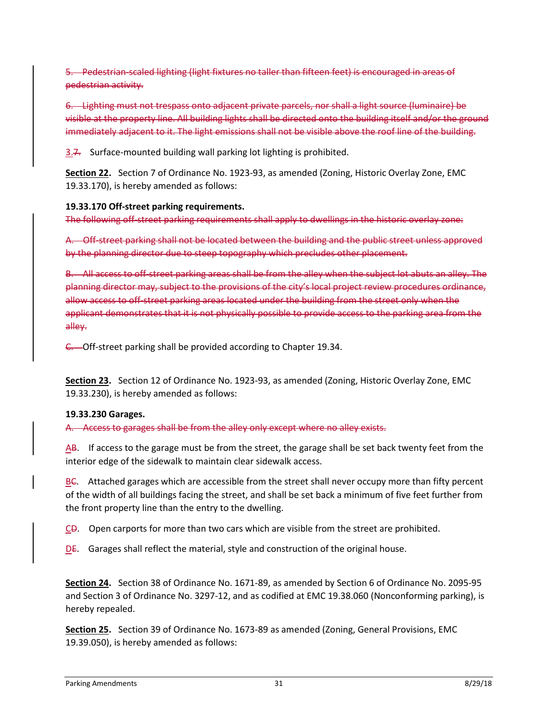5. Pedestrian-scaled lighting (light fixtures no taller than fifteen feet) is encouraged in areas of pedestrian activity.

6. Lighting must not trespass onto adjacent private parcels, nor shall a light source (luminaire) be visible at the property line. All building lights shall be directed onto the building itself and/or the ground immediately adjacent to it. The light emissions shall not be visible above the roof line of the building.

3.7. Surface-mounted building wall parking lot lighting is prohibited.

**Section 22.** Section 7 of Ordinance No. 1923-93, as amended (Zoning, Historic Overlay Zone, EMC 19.33.170), is hereby amended as follows:

## **19.33.170 Off-street parking requirements.**

The following off-street parking requirements shall apply to dwellings in the historic overlay zone:

A. Off-street parking shall not be located between the building and the public street unless approved by the planning director due to steep topography which precludes other placement.

B. All access to off-street parking areas shall be from the alley when the subject lot abuts an alley. The planning director may, subject to the provisions of the city's local project review procedures ordinance, allow access to off-street parking areas located under the building from the street only when the applicant demonstrates that it is not physically possible to provide access to the parking area from the alley.

C. Off-street parking shall be provided according to Chapter 19.34.

**Section 23.** Section 12 of Ordinance No. 1923-93, as amended (Zoning, Historic Overlay Zone, EMC 19.33.230), is hereby amended as follows:

# **19.33.230 Garages.**

A. Access to garages shall be from the alley only except where no alley exists.

 $\overline{AB}$ . If access to the garage must be from the street, the garage shall be set back twenty feet from the interior edge of the sidewalk to maintain clear sidewalk access.

BC. Attached garages which are accessible from the street shall never occupy more than fifty percent of the width of all buildings facing the street, and shall be set back a minimum of five feet further from the front property line than the entry to the dwelling.

CD. Open carports for more than two cars which are visible from the street are prohibited.

 $DE.$  Garages shall reflect the material, style and construction of the original house.

**Section 24.** Section 38 of Ordinance No. 1671-89, as amended by Section 6 of Ordinance No. 2095-95 and Section 3 of Ordinance No. 3297-12, and as codified at EMC 19.38.060 (Nonconforming parking), is hereby repealed.

**Section 25.** Section 39 of Ordinance No. 1673-89 as amended (Zoning, General Provisions, EMC 19.39.050), is hereby amended as follows: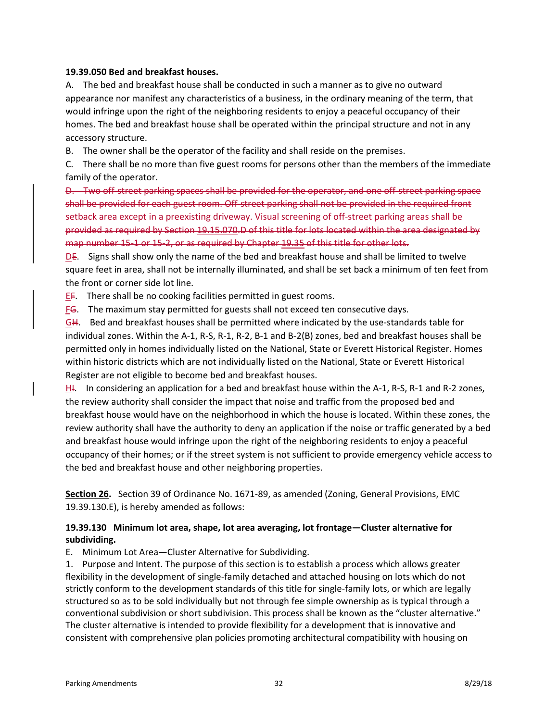#### **19.39.050 Bed and breakfast houses.**

A. The bed and breakfast house shall be conducted in such a manner as to give no outward appearance nor manifest any characteristics of a business, in the ordinary meaning of the term, that would infringe upon the right of the neighboring residents to enjoy a peaceful occupancy of their homes. The bed and breakfast house shall be operated within the principal structure and not in any accessory structure.

B. The owner shall be the operator of the facility and shall reside on the premises.

C. There shall be no more than five guest rooms for persons other than the members of the immediate family of the operator.

D. Two off-street parking spaces shall be provided for the operator, and one off-street parking space shall be provided for each guest room. Off-street parking shall not be provided in the required front setback area except in a preexisting driveway. Visual screening of off-street parking areas shall be provided as required by Section 19.15.070.D of this title for lots located within the area designated by map number 15-1 or 15-2, or as required by Chapter 19.35 of this title for other lots.

DE. Signs shall show only the name of the bed and breakfast house and shall be limited to twelve square feet in area, shall not be internally illuminated, and shall be set back a minimum of ten feet from the front or corner side lot line.

EF. There shall be no cooking facilities permitted in guest rooms.

FG. The maximum stay permitted for guests shall not exceed ten consecutive days.

GH. Bed and breakfast houses shall be permitted where indicated by the use-standards table for individual zones. Within the A-1, R-S, R-1, R-2, B-1 and B-2(B) zones, bed and breakfast houses shall be permitted only in homes individually listed on the National, State or Everett Historical Register. Homes within historic districts which are not individually listed on the National, State or Everett Historical Register are not eligible to become bed and breakfast houses.

H<sub>1</sub>. In considering an application for a bed and breakfast house within the A-1, R-S, R-1 and R-2 zones, the review authority shall consider the impact that noise and traffic from the proposed bed and breakfast house would have on the neighborhood in which the house is located. Within these zones, the review authority shall have the authority to deny an application if the noise or traffic generated by a bed and breakfast house would infringe upon the right of the neighboring residents to enjoy a peaceful occupancy of their homes; or if the street system is not sufficient to provide emergency vehicle access to the bed and breakfast house and other neighboring properties.

**Section 26.** Section 39 of Ordinance No. 1671-89, as amended (Zoning, General Provisions, EMC 19.39.130.E), is hereby amended as follows:

#### **19.39.130 Minimum lot area, shape, lot area averaging, lot frontage—Cluster alternative for subdividing.**

E. Minimum Lot Area—Cluster Alternative for Subdividing.

1. Purpose and Intent. The purpose of this section is to establish a process which allows greater flexibility in the development of single-family detached and attached housing on lots which do not strictly conform to the development standards of this title for single-family lots, or which are legally structured so as to be sold individually but not through fee simple ownership as is typical through a conventional subdivision or short subdivision. This process shall be known as the "cluster alternative." The cluster alternative is intended to provide flexibility for a development that is innovative and consistent with comprehensive plan policies promoting architectural compatibility with housing on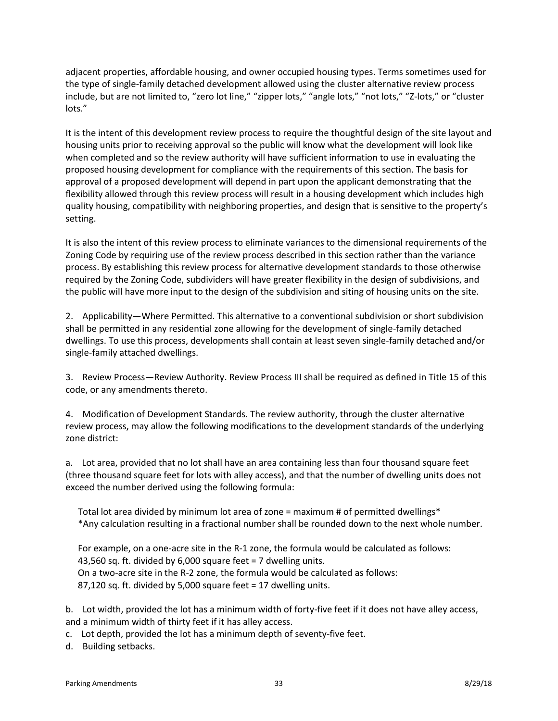adjacent properties, affordable housing, and owner occupied housing types. Terms sometimes used for the type of single-family detached development allowed using the cluster alternative review process include, but are not limited to, "zero lot line," "zipper lots," "angle lots," "not lots," "Z-lots," or "cluster lots."

It is the intent of this development review process to require the thoughtful design of the site layout and housing units prior to receiving approval so the public will know what the development will look like when completed and so the review authority will have sufficient information to use in evaluating the proposed housing development for compliance with the requirements of this section. The basis for approval of a proposed development will depend in part upon the applicant demonstrating that the flexibility allowed through this review process will result in a housing development which includes high quality housing, compatibility with neighboring properties, and design that is sensitive to the property's setting.

It is also the intent of this review process to eliminate variances to the dimensional requirements of the Zoning Code by requiring use of the review process described in this section rather than the variance process. By establishing this review process for alternative development standards to those otherwise required by the Zoning Code, subdividers will have greater flexibility in the design of subdivisions, and the public will have more input to the design of the subdivision and siting of housing units on the site.

2. Applicability—Where Permitted. This alternative to a conventional subdivision or short subdivision shall be permitted in any residential zone allowing for the development of single-family detached dwellings. To use this process, developments shall contain at least seven single-family detached and/or single-family attached dwellings.

3. Review Process—Review Authority. Review Process III shall be required as defined in Title 15 of this code, or any amendments thereto.

4. Modification of Development Standards. The review authority, through the cluster alternative review process, may allow the following modifications to the development standards of the underlying zone district:

a. Lot area, provided that no lot shall have an area containing less than four thousand square feet (three thousand square feet for lots with alley access), and that the number of dwelling units does not exceed the number derived using the following formula:

Total lot area divided by minimum lot area of zone = maximum # of permitted dwellings\* \*Any calculation resulting in a fractional number shall be rounded down to the next whole number.

For example, on a one-acre site in the R-1 zone, the formula would be calculated as follows: 43,560 sq. ft. divided by 6,000 square feet = 7 dwelling units. On a two-acre site in the R-2 zone, the formula would be calculated as follows: 87,120 sq. ft. divided by 5,000 square feet = 17 dwelling units.

b. Lot width, provided the lot has a minimum width of forty-five feet if it does not have alley access, and a minimum width of thirty feet if it has alley access.

c. Lot depth, provided the lot has a minimum depth of seventy-five feet.

d. Building setbacks.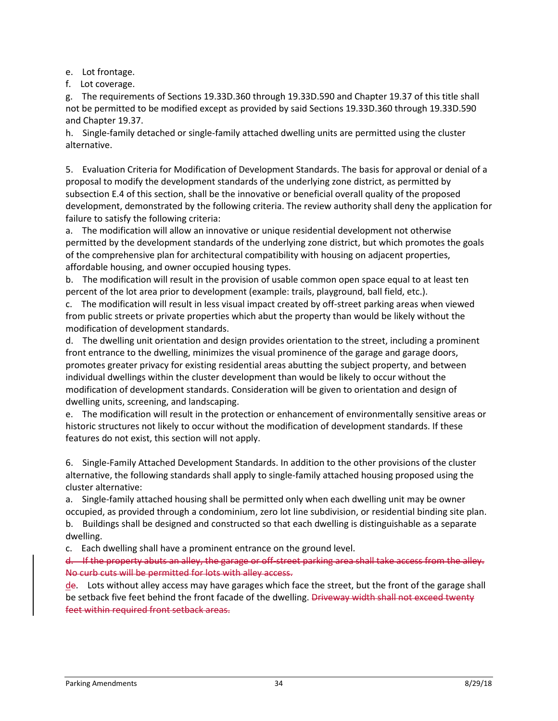e. Lot frontage.

f. Lot coverage.

g. The requirements of Sections 19.33D.360 through 19.33D.590 and Chapter 19.37 of this title shall not be permitted to be modified except as provided by said Sections 19.33D.360 through 19.33D.590 and Chapter 19.37.

h. Single-family detached or single-family attached dwelling units are permitted using the cluster alternative.

5. Evaluation Criteria for Modification of Development Standards. The basis for approval or denial of a proposal to modify the development standards of the underlying zone district, as permitted by subsection E.4 of this section, shall be the innovative or beneficial overall quality of the proposed development, demonstrated by the following criteria. The review authority shall deny the application for failure to satisfy the following criteria:

a. The modification will allow an innovative or unique residential development not otherwise permitted by the development standards of the underlying zone district, but which promotes the goals of the comprehensive plan for architectural compatibility with housing on adjacent properties, affordable housing, and owner occupied housing types.

b. The modification will result in the provision of usable common open space equal to at least ten percent of the lot area prior to development (example: trails, playground, ball field, etc.).

c. The modification will result in less visual impact created by off-street parking areas when viewed from public streets or private properties which abut the property than would be likely without the modification of development standards.

d. The dwelling unit orientation and design provides orientation to the street, including a prominent front entrance to the dwelling, minimizes the visual prominence of the garage and garage doors, promotes greater privacy for existing residential areas abutting the subject property, and between individual dwellings within the cluster development than would be likely to occur without the modification of development standards. Consideration will be given to orientation and design of dwelling units, screening, and landscaping.

e. The modification will result in the protection or enhancement of environmentally sensitive areas or historic structures not likely to occur without the modification of development standards. If these features do not exist, this section will not apply.

6. Single-Family Attached Development Standards. In addition to the other provisions of the cluster alternative, the following standards shall apply to single-family attached housing proposed using the cluster alternative:

a. Single-family attached housing shall be permitted only when each dwelling unit may be owner occupied, as provided through a condominium, zero lot line subdivision, or residential binding site plan. b. Buildings shall be designed and constructed so that each dwelling is distinguishable as a separate dwelling.

c. Each dwelling shall have a prominent entrance on the ground level.

d. If the property abuts an alley, the garage or off-street parking area shall take access from the alley. No curb cuts will be permitted for lots with alley access.

 $de$ . Lots without alley access may have garages which face the street, but the front of the garage shall be setback five feet behind the front facade of the dwelling. Driveway width shall not exceed twenty feet within required front setback areas.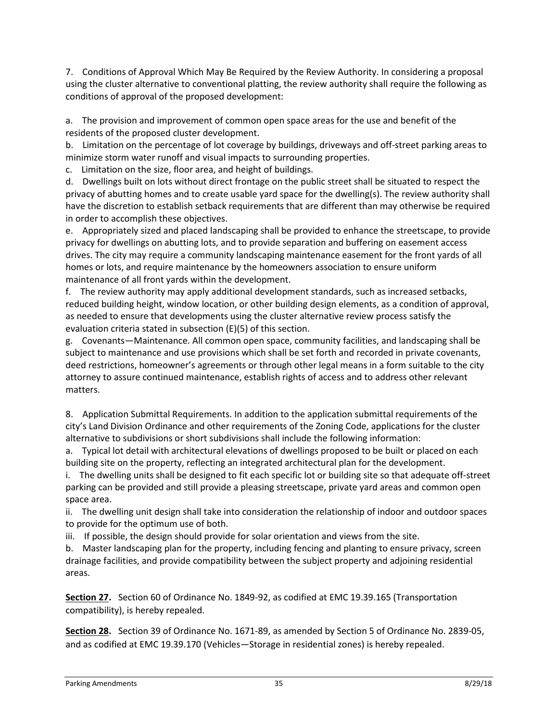7. Conditions of Approval Which May Be Required by the Review Authority. In considering a proposal using the cluster alternative to conventional platting, the review authority shall require the following as conditions of approval of the proposed development:

a. The provision and improvement of common open space areas for the use and benefit of the residents of the proposed cluster development.

b. Limitation on the percentage of lot coverage by buildings, driveways and off-street parking areas to minimize storm water runoff and visual impacts to surrounding properties.

c. Limitation on the size, floor area, and height of buildings.

d. Dwellings built on lots without direct frontage on the public street shall be situated to respect the privacy of abutting homes and to create usable yard space for the dwelling(s). The review authority shall have the discretion to establish setback requirements that are different than may otherwise be required in order to accomplish these objectives.

e. Appropriately sized and placed landscaping shall be provided to enhance the streetscape, to provide privacy for dwellings on abutting lots, and to provide separation and buffering on easement access drives. The city may require a community landscaping maintenance easement for the front yards of all homes or lots, and require maintenance by the homeowners association to ensure uniform maintenance of all front yards within the development.

f. The review authority may apply additional development standards, such as increased setbacks, reduced building height, window location, or other building design elements, as a condition of approval, as needed to ensure that developments using the cluster alternative review process satisfy the evaluation criteria stated in subsection (E)(5) of this section.

g. Covenants—Maintenance. All common open space, community facilities, and landscaping shall be subject to maintenance and use provisions which shall be set forth and recorded in private covenants, deed restrictions, homeowner's agreements or through other legal means in a form suitable to the city attorney to assure continued maintenance, establish rights of access and to address other relevant matters.

8. Application Submittal Requirements. In addition to the application submittal requirements of the city's Land Division Ordinance and other requirements of the Zoning Code, applications for the cluster alternative to subdivisions or short subdivisions shall include the following information:

a. Typical lot detail with architectural elevations of dwellings proposed to be built or placed on each building site on the property, reflecting an integrated architectural plan for the development.

i. The dwelling units shall be designed to fit each specific lot or building site so that adequate off-street parking can be provided and still provide a pleasing streetscape, private yard areas and common open space area.

ii. The dwelling unit design shall take into consideration the relationship of indoor and outdoor spaces to provide for the optimum use of both.

iii. If possible, the design should provide for solar orientation and views from the site.

b. Master landscaping plan for the property, including fencing and planting to ensure privacy, screen drainage facilities, and provide compatibility between the subject property and adjoining residential areas.

**Section 27.** Section 60 of Ordinance No. 1849-92, as codified at EMC 19.39.165 (Transportation compatibility), is hereby repealed.

**Section 28.** Section 39 of Ordinance No. 1671-89, as amended by Section 5 of Ordinance No. 2839-05, and as codified at EMC 19.39.170 (Vehicles—Storage in residential zones) is hereby repealed.